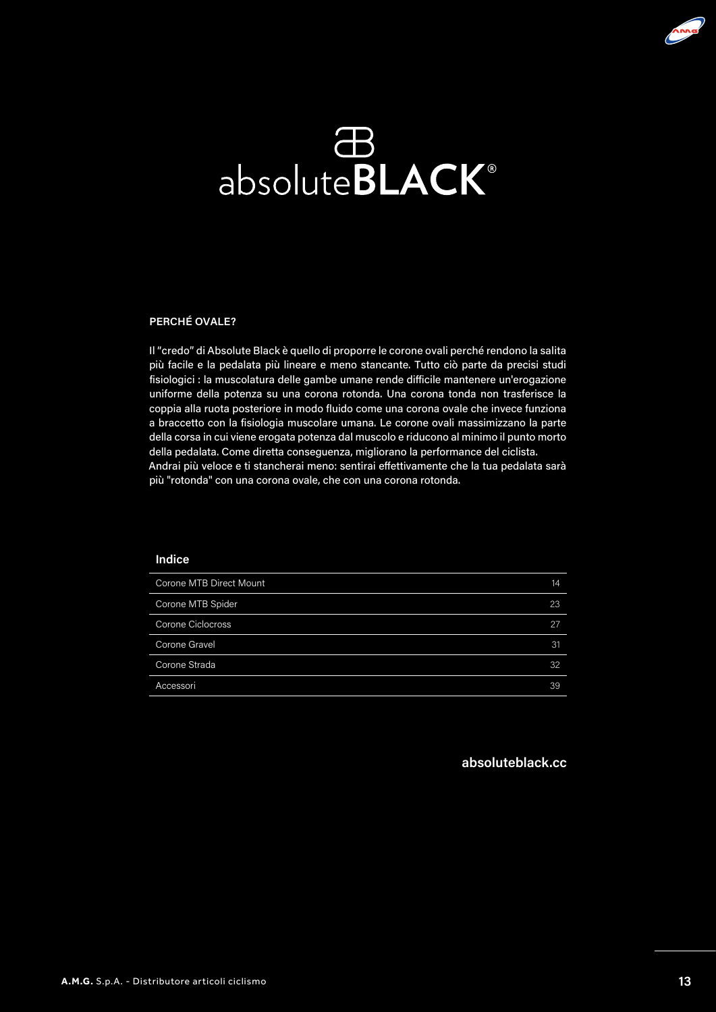

## absolute**BLACK**®

#### **PERCHÉ OVALE?**

Il "credo" di Absolute Black è quello di proporre le corone ovali perché rendono la salita più facile e la pedalata più lineare e meno stancante. Tutto ciò parte da precisi studi fisiologici : la muscolatura delle gambe umane rende difficile mantenere un'erogazione uniforme della potenza su una corona rotonda. Una corona tonda non trasferisce la coppia alla ruota posteriore in modo fluido come una corona ovale che invece funziona a braccetto con la fisiologia muscolare umana. Le corone ovali massimizzano la parte della corsa in cui viene erogata potenza dal muscolo e riducono al minimo il punto morto della pedalata. Come diretta conseguenza, migliorano la performance del ciclista. Andrai più veloce e ti stancherai meno: sentirai effettivamente che la tua pedalata sarà più "rotonda" con una corona ovale, che con una corona rotonda.

#### **Indice**

| Corone MTB Direct Mount  | 14 |
|--------------------------|----|
| Corone MTB Spider        | 23 |
| <b>Corone Ciclocross</b> | 27 |
| Corone Gravel            | 31 |
| Corone Strada            | 32 |
| Accessori                | 39 |

#### **absoluteblack.cc**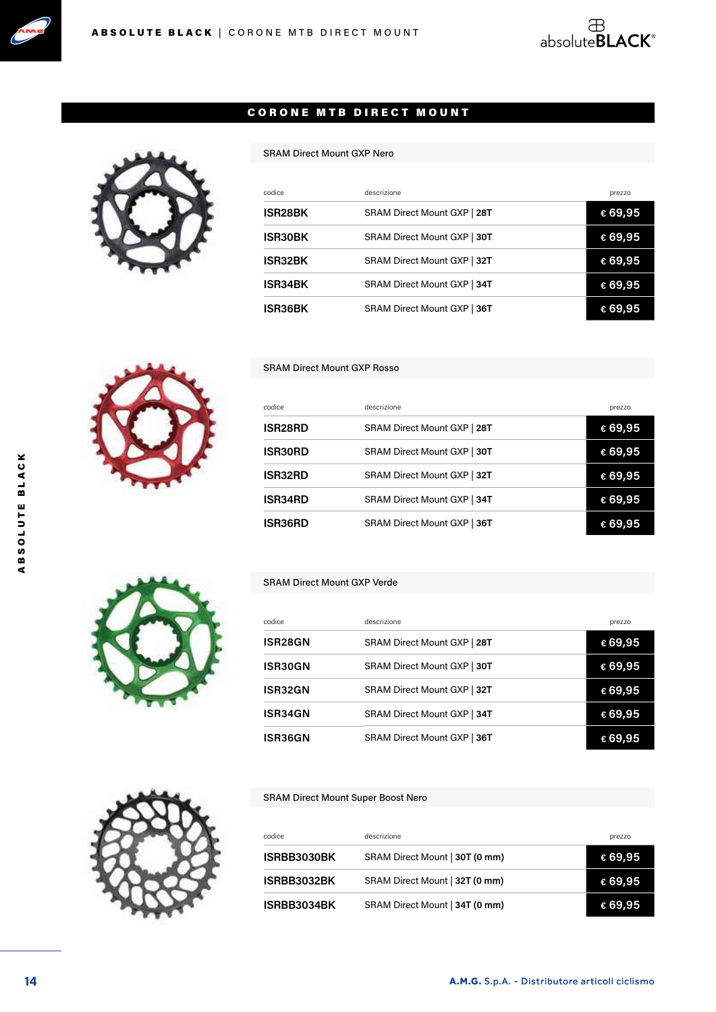





#### SRAM Direct Mount GXP Nero

| codice         | descrizione                 | prezzo  |
|----------------|-----------------------------|---------|
| <b>ISR28BK</b> | SRAM Direct Mount GXP   28T | € 69,95 |
| <b>ISR30BK</b> | SRAM Direct Mount GXP   30T | € 69,95 |
| <b>ISR32BK</b> | SRAM Direct Mount GXP   32T | € 69,95 |
| <b>ISR34BK</b> | SRAM Direct Mount GXP   34T | € 69,95 |
| ISR36BK        | SRAM Direct Mount GXP   36T | € 69,95 |

#### SRAM Direct Mount GXP Rosso

| codice               | descrizione                 | prezzo  |
|----------------------|-----------------------------|---------|
| ISR <sub>28</sub> RD | SRAM Direct Mount GXP   28T | € 69,95 |
| <b>ISR30RD</b>       | SRAM Direct Mount GXP   30T | € 69,95 |
| <b>ISR32RD</b>       | SRAM Direct Mount GXP   32T | € 69,95 |
| <b>ISR34RD</b>       | SRAM Direct Mount GXP   34T | € 69,95 |
| <b>ISR36RD</b>       | SRAM Direct Mount GXP   36T | € 69.95 |

#### SRAM Direct Mount GXP Verde

| codice         | descrizione                 | prezzo  |
|----------------|-----------------------------|---------|
| <b>ISR28GN</b> | SRAM Direct Mount GXP   28T | €69,95  |
| ISR30GN        | SRAM Direct Mount GXP   30T | € 69,95 |
| ISR32GN        | SRAM Direct Mount GXP   32T | €69,95  |
| ISR34GN        | SRAM Direct Mount GXP   34T | €69,95  |
| <b>ISR36GN</b> | SRAM Direct Mount GXP   36T | € 69.95 |

#### SRAM Direct Mount Super Boost Nero

| codice             | descrizione                    | prezzo  |
|--------------------|--------------------------------|---------|
| <b>ISRBB3030BK</b> | SRAM Direct Mount   30T (0 mm) | € 69,95 |
| ISRBB3032BK        | SRAM Direct Mount   32T (0 mm) | € 69,95 |
| ISRBB3034BK        | SRAM Direct Mount   34T (0 mm) | € 69,95 |



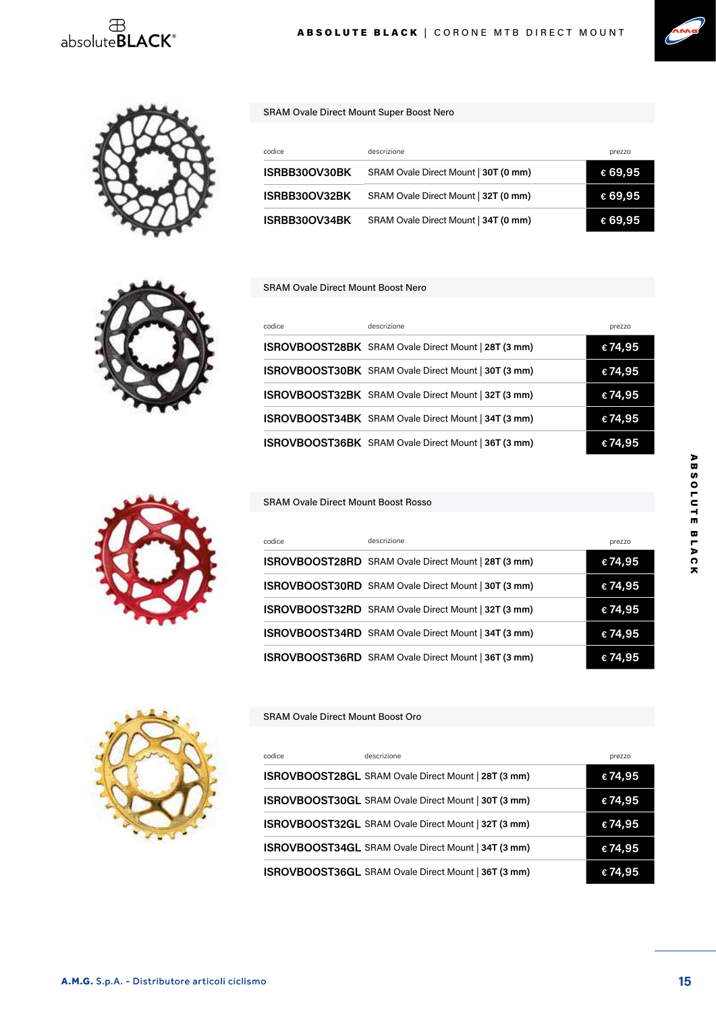







SRAM Ovale Direct Mount Super Boost Nero

| codice        | descrizione                          | prezzo  |
|---------------|--------------------------------------|---------|
| ISRBB30OV30BK | SRAM Ovale Direct Mount   30T (0 mm) | € 69,95 |
| ISRBB30OV32BK | SRAM Ovale Direct Mount   32T (0 mm) | € 69,95 |
| ISRBB30OV34BK | SRAM Ovale Direct Mount   34T (0 mm) | € 69,95 |

#### SRAM Ovale Direct Mount Boost Nero

| codice | descrizione                                                | prezzo  |
|--------|------------------------------------------------------------|---------|
|        | ISROVBOOST28BK SRAM Ovale Direct Mount   28T (3 mm)        | € 74,95 |
|        | ISROVBOOST30BK SRAM Ovale Direct Mount   30T (3 mm)        | €74,95  |
|        | ISROVBOOST32BK SRAM Ovale Direct Mount   32T (3 mm)        | €74,95  |
|        | <b>ISROVBOOST34BK</b> SRAM Ovale Direct Mount   34T (3 mm) | €74,95  |
|        | ISROVBOOST36BK SRAM Ovale Direct Mount   36T (3 mm)        | € 74.95 |

#### SRAM Ovale Direct Mount Boost Rosso

| codice | descrizione                                         | prezzo  |
|--------|-----------------------------------------------------|---------|
|        | ISROVBOOST28RD SRAM Ovale Direct Mount   28T (3 mm) | €74,95  |
|        | ISROVBOOST30RD SRAM Ovale Direct Mount   30T (3 mm) | € 74,95 |
|        | ISROVBOOST32RD SRAM Ovale Direct Mount   32T (3 mm) | € 74,95 |
|        | ISROVBOOST34RD SRAM Ovale Direct Mount   34T (3 mm) | € 74,95 |
|        | ISROVBOOST36RD SRAM Ovale Direct Mount   36T (3 mm) | € 74,95 |

#### SRAM Ovale Direct Mount Boost Oro

| codice | descrizione                                         | prezzo |
|--------|-----------------------------------------------------|--------|
|        | ISROVBOOST28GL SRAM Ovale Direct Mount   28T (3 mm) | €74,95 |
|        | ISROVBOOST30GL SRAM Ovale Direct Mount   30T (3 mm) | €74,95 |
|        | ISROVBOOST32GL SRAM Ovale Direct Mount   32T (3 mm) | €74,95 |
|        | ISROVBOOST34GL SRAM Ovale Direct Mount   34T (3 mm) | €74,95 |
|        | ISROVBOOST36GL SRAM Ovale Direct Mount   36T (3 mm) | €74,95 |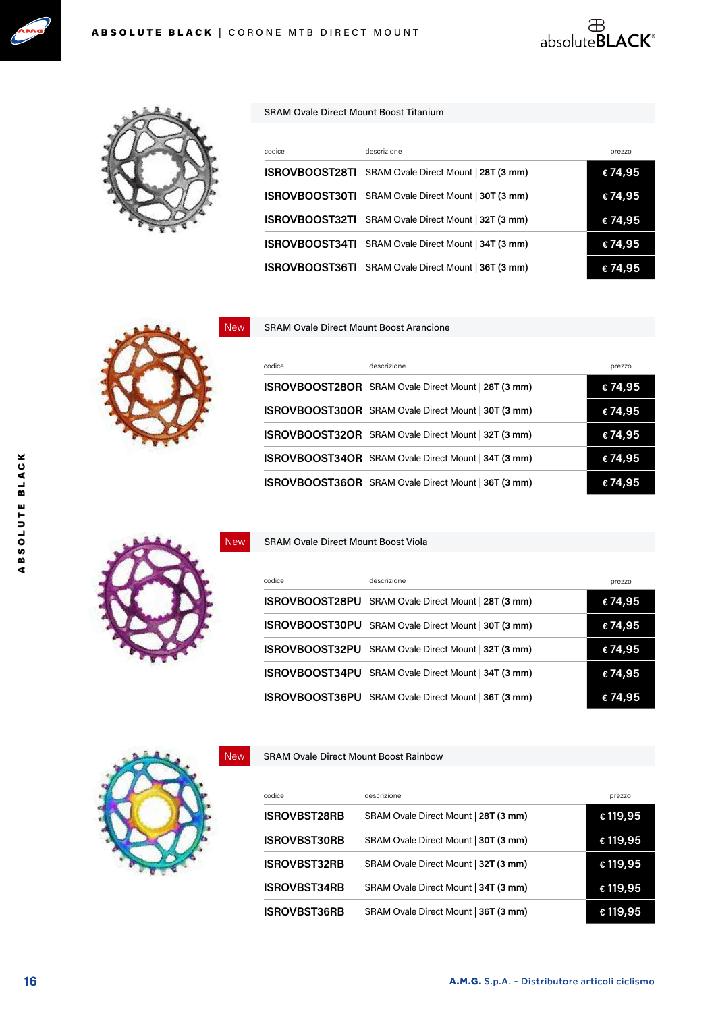





#### SRAM Ovale Direct Mount Boost Titanium

| codice | descrizione                                                | prezzo  |
|--------|------------------------------------------------------------|---------|
|        | <b>ISROVBOOST28TI</b> SRAM Ovale Direct Mount   28T (3 mm) | €74,95  |
|        | <b>ISROVBOOST30TI</b> SRAM Ovale Direct Mount   30T (3 mm) | € 74,95 |
|        | <b>ISROVBOOST32TI</b> SRAM Ovale Direct Mount   32T (3 mm) | € 74,95 |
|        | ISROVBOOST34TI SRAM Ovale Direct Mount   34T (3 mm)        | € 74,95 |
|        | ISROVBOOST36TI SRAM Ovale Direct Mount   36T (3 mm)        | € 74,95 |



#### SRAM Ovale Direct Mount Boost Arancione

| codice | descrizione                                         | prezzo  |
|--------|-----------------------------------------------------|---------|
|        | ISROVBOOST28OR SRAM Ovale Direct Mount   28T (3 mm) | € 74,95 |
|        | ISROVBOOST30OR SRAM Ovale Direct Mount   30T (3 mm) | €74,95  |
|        | ISROVBOOST32OR SRAM Ovale Direct Mount   32T (3 mm) | €74,95  |
|        | ISROVBOOST34OR SRAM Ovale Direct Mount   34T (3 mm) | € 74,95 |
|        | ISROVBOOST36OR SRAM Ovale Direct Mount   36T (3 mm) | € 74,95 |

# New

SRAM Ovale Direct Mount Boost Viola

| codice                | descrizione                          | prezzo  |
|-----------------------|--------------------------------------|---------|
| <b>ISROVBOOST28PU</b> | SRAM Ovale Direct Mount   28T (3 mm) | €74,95  |
| <b>ISROVBOOST30PU</b> | SRAM Ovale Direct Mount   30T (3 mm) | €74,95  |
| <b>ISROVBOOST32PU</b> | SRAM Ovale Direct Mount   32T (3 mm) | €74,95  |
| <b>ISROVBOOST34PU</b> | SRAM Ovale Direct Mount   34T (3 mm) | €74,95  |
| ISROVBOOST36PU        | SRAM Ovale Direct Mount   36T (3 mm) | € 74,95 |

SRAM Ovale Direct Mount Boost Rainbow

| codice              | descrizione                          | prezzo   |
|---------------------|--------------------------------------|----------|
| <b>ISROVBST28RB</b> | SRAM Ovale Direct Mount   28T (3 mm) | € 119,95 |
| <b>ISROVBST30RB</b> | SRAM Ovale Direct Mount   30T (3 mm) | € 119,95 |
| <b>ISROVBST32RB</b> | SRAM Ovale Direct Mount   32T (3 mm) | € 119,95 |
| <b>ISROVBST34RB</b> | SRAM Ovale Direct Mount   34T (3 mm) | € 119,95 |
| <b>ISROVBST36RB</b> | SRAM Ovale Direct Mount   36T (3 mm) | € 119,95 |



New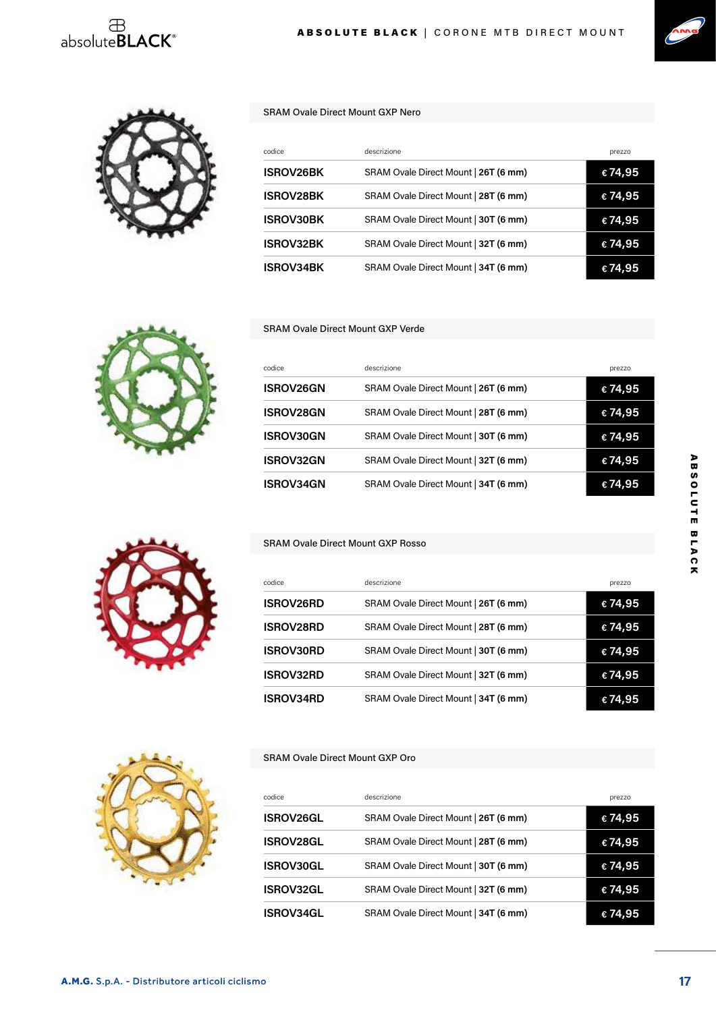## $\overset{\oplus}{\text{absolute}}$ BLACK®





#### SRAM Ovale Direct Mount GXP Nero

| codice           | descrizione                          | prezzo  |
|------------------|--------------------------------------|---------|
| <b>ISROV26BK</b> | SRAM Ovale Direct Mount   26T (6 mm) | € 74,95 |
| <b>ISROV28BK</b> | SRAM Ovale Direct Mount   28T (6 mm) | € 74,95 |
| <b>ISROV30BK</b> | SRAM Ovale Direct Mount   30T (6 mm) | € 74,95 |
| <b>ISROV32BK</b> | SRAM Ovale Direct Mount   32T (6 mm) | €74,95  |
| <b>ISROV34BK</b> | SRAM Ovale Direct Mount   34T (6 mm) | € 74.95 |



#### SRAM Ovale Direct Mount GXP Verde

| codice           | descrizione                          | prezzo  |
|------------------|--------------------------------------|---------|
| <b>ISROV26GN</b> | SRAM Ovale Direct Mount   26T (6 mm) | € 74,95 |
| <b>ISROV28GN</b> | SRAM Ovale Direct Mount   28T (6 mm) | € 74,95 |
| <b>ISROV30GN</b> | SRAM Ovale Direct Mount   30T (6 mm) | € 74,95 |
| <b>ISROV32GN</b> | SRAM Ovale Direct Mount   32T (6 mm) | €74,95  |
| <b>ISROV34GN</b> | SRAM Ovale Direct Mount   34T (6 mm) | € 74.95 |



#### SRAM Ovale Direct Mount GXP Rosso

| codice           | descrizione                          | prezzo  |
|------------------|--------------------------------------|---------|
| <b>ISROV26RD</b> | SRAM Ovale Direct Mount   26T (6 mm) | €74,95  |
| <b>ISROV28RD</b> | SRAM Ovale Direct Mount   28T (6 mm) | €74,95  |
| <b>ISROV30RD</b> | SRAM Ovale Direct Mount   30T (6 mm) | € 74,95 |
| <b>ISROV32RD</b> | SRAM Ovale Direct Mount   32T (6 mm) | €74,95  |
| <b>ISROV34RD</b> | SRAM Ovale Direct Mount   34T (6 mm) | € 74.95 |

#### SRAM Ovale Direct Mount GXP Oro

|                  | descrizione                          |         |
|------------------|--------------------------------------|---------|
| codice           |                                      | prezzo  |
| <b>ISROV26GL</b> | SRAM Ovale Direct Mount   26T (6 mm) | €74,95  |
| <b>ISROV28GL</b> | SRAM Ovale Direct Mount   28T (6 mm) | €74,95  |
| <b>ISROV30GL</b> | SRAM Ovale Direct Mount   30T (6 mm) | € 74,95 |
| <b>ISROV32GL</b> | SRAM Ovale Direct Mount   32T (6 mm) | €74,95  |
| <b>ISROV34GL</b> | SRAM Ovale Direct Mount   34T (6 mm) | € 74,95 |

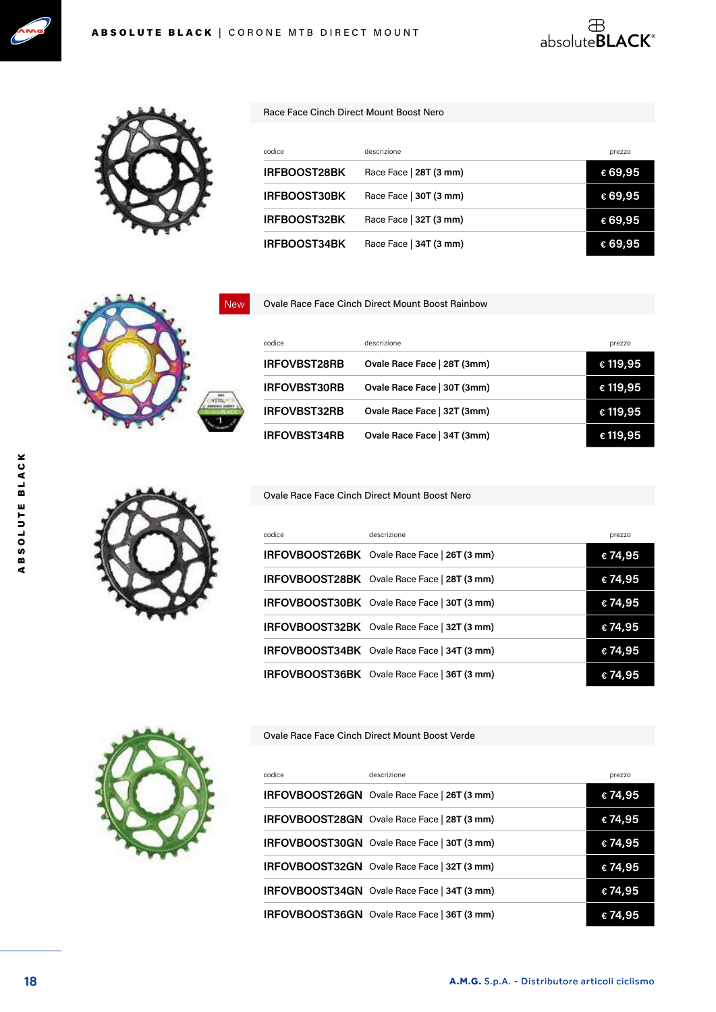



#### Race Face Cinch Direct Mount Boost Nero

| codice              | descrizione            | prezzo  |
|---------------------|------------------------|---------|
| <b>IRFBOOST28BK</b> | Race Face   28T (3 mm) | €69,95  |
| <b>IRFBOOST30BK</b> | Race Face   30T (3 mm) | €69,95  |
| <b>IRFBOOST32BK</b> | Race Face   32T (3 mm) | €69,95  |
| <b>IRFBOOST34BK</b> | Race Face   34T (3 mm) | € 69.95 |

 $\overset{\oplus}{\text{absolute}}$ BLACK®



#### Ovale Race Face Cinch Direct Mount Boost Rainbow

| codice              | descrizione                 | prezzo   |
|---------------------|-----------------------------|----------|
| <b>IRFOVBST28RB</b> | Ovale Race Face   28T (3mm) | € 119,95 |
| <b>IRFOVBST30RB</b> | Ovale Race Face   30T (3mm) | € 119,95 |
| <b>IRFOVBST32RB</b> | Ovale Race Face   32T (3mm) | € 119,95 |
| <b>IRFOVBST34RB</b> | Ovale Race Face   34T (3mm) | € 119,95 |

#### Ovale Race Face Cinch Direct Mount Boost Nero

| codice | descrizione                                        | prezzo  |
|--------|----------------------------------------------------|---------|
|        | IRFOVBOOST26BK Ovale Race Face   26T (3 mm)        | €74,95  |
|        | <b>IRFOVBOOST28BK</b> Ovale Race Face   28T (3 mm) | €74,95  |
|        | <b>IRFOVBOOST30BK</b> Ovale Race Face   30T (3 mm) | €74,95  |
|        | <b>IRFOVBOOST32BK</b> Ovale Race Face   32T (3 mm) | €74,95  |
|        | IRFOVBOOST34BK Ovale Race Face   34T (3 mm)        | €74,95  |
|        | IRFOVBOOST36BK Ovale Race Face   36T (3 mm)        | € 74.95 |

#### Ovale Race Face Cinch Direct Mount Boost Verde

| codice | descrizione                                        | prezzo |
|--------|----------------------------------------------------|--------|
|        | <b>IRFOVBOOST26GN</b> Ovale Race Face   26T (3 mm) | €74,95 |
|        | IRFOVBOOST28GN Ovale Race Face   28T (3 mm)        | €74,95 |
|        | IRFOVBOOST30GN Ovale Race Face   30T (3 mm)        | €74,95 |
|        | IRFOVBOOST32GN Ovale Race Face   32T (3 mm)        | €74,95 |
|        | <b>IRFOVBOOST34GN</b> Ovale Race Face   34T (3 mm) | €74,95 |
|        | <b>IRFOVBOOST36GN</b> Ovale Race Face   36T (3 mm) | €74,95 |

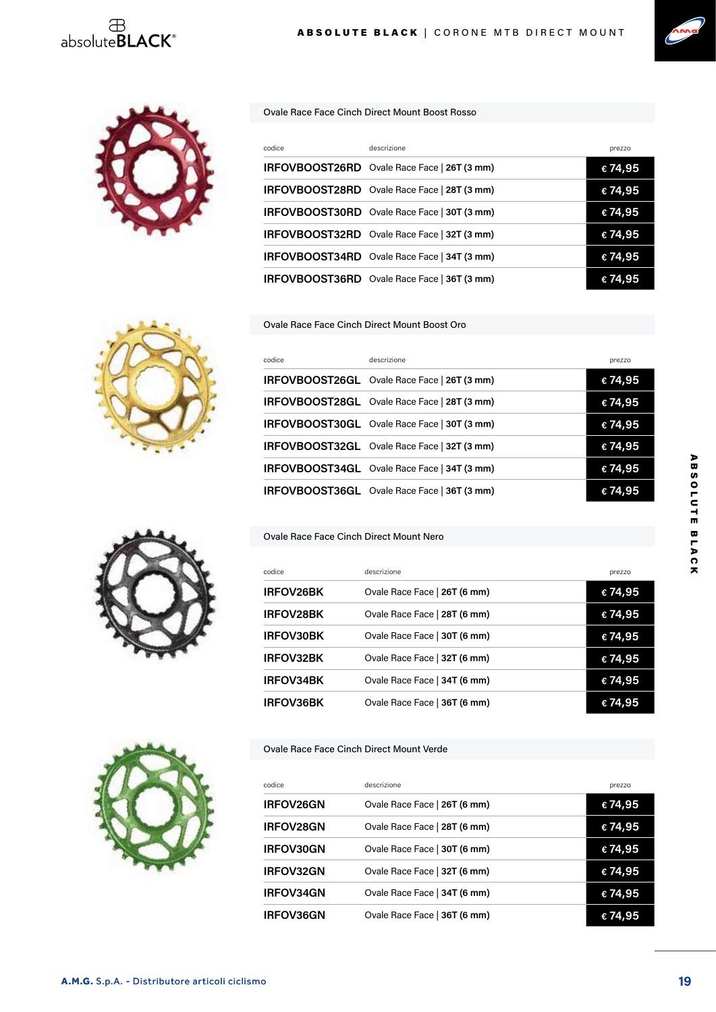

#### Ovale Race Face Cinch Direct Mount Boost Rosso

| codice | descrizione                                        | prezzo  |
|--------|----------------------------------------------------|---------|
|        | IRFOVBOOST26RD Ovale Race Face   26T (3 mm)        | €74,95  |
|        | IRFOVBOOST28RD Ovale Race Face   28T (3 mm)        | €74,95  |
|        | IRFOVBOOST30RD Ovale Race Face   30T (3 mm)        | €74,95  |
|        | IRFOVBOOST32RD Ovale Race Face   32T (3 mm)        | €74,95  |
|        | <b>IRFOVBOOST34RD</b> Ovale Race Face   34T (3 mm) | €74,95  |
|        | IRFOVBOOST36RD Ovale Race Face   36T (3 mm)        | € 74,95 |

#### Ovale Race Face Cinch Direct Mount Boost Oro



| codice | descrizione                                        | prezzo |
|--------|----------------------------------------------------|--------|
|        | <b>IRFOVBOOST26GL</b> Ovale Race Face   26T (3 mm) | €74,95 |
|        | <b>IRFOVBOOST28GL</b> Ovale Race Face   28T (3 mm) | €74,95 |
|        | <b>IRFOVBOOST30GL</b> Ovale Race Face   30T (3 mm) | €74,95 |
|        | IRFOVBOOST32GL Ovale Race Face   32T (3 mm)        | €74,95 |
|        | IRFOVBOOST34GL Ovale Race Face   34T (3 mm)        | €74,95 |
|        | <b>IRFOVBOOST36GL</b> Ovale Race Face   36T (3 mm) | €74,95 |

#### Ovale Race Face Cinch Direct Mount Nero

| codice           | descrizione                  | prezzo  |
|------------------|------------------------------|---------|
| IRFOV26BK        | Ovale Race Face   26T (6 mm) | €74,95  |
| <b>IRFOV28BK</b> | Ovale Race Face   28T (6 mm) | €74,95  |
| <b>IRFOV30BK</b> | Ovale Race Face   30T (6 mm) | €74,95  |
| <b>IRFOV32BK</b> | Ovale Race Face   32T (6 mm) | €74,95  |
| <b>IRFOV34BK</b> | Ovale Race Face   34T (6 mm) | € 74,95 |
| IRFOV36BK        | Ovale Race Face   36T (6 mm) | € 74.95 |

#### Ovale Race Face Cinch Direct Mount Verde

| codice           | descrizione                  | prezzo |
|------------------|------------------------------|--------|
| IRFOV26GN        | Ovale Race Face   26T (6 mm) | €74,95 |
| <b>IRFOV28GN</b> | Ovale Race Face   28T (6 mm) | €74,95 |
| <b>IRFOV30GN</b> | Ovale Race Face   30T (6 mm) | €74,95 |
| <b>IRFOV32GN</b> | Ovale Race Face   32T (6 mm) | €74,95 |
| <b>IRFOV34GN</b> | Ovale Race Face   34T (6 mm) | €74,95 |
| <b>IRFOV36GN</b> | Ovale Race Face   36T (6 mm) | €74,95 |







ABSOLUTE BLACK

ABSOLUTE BLACK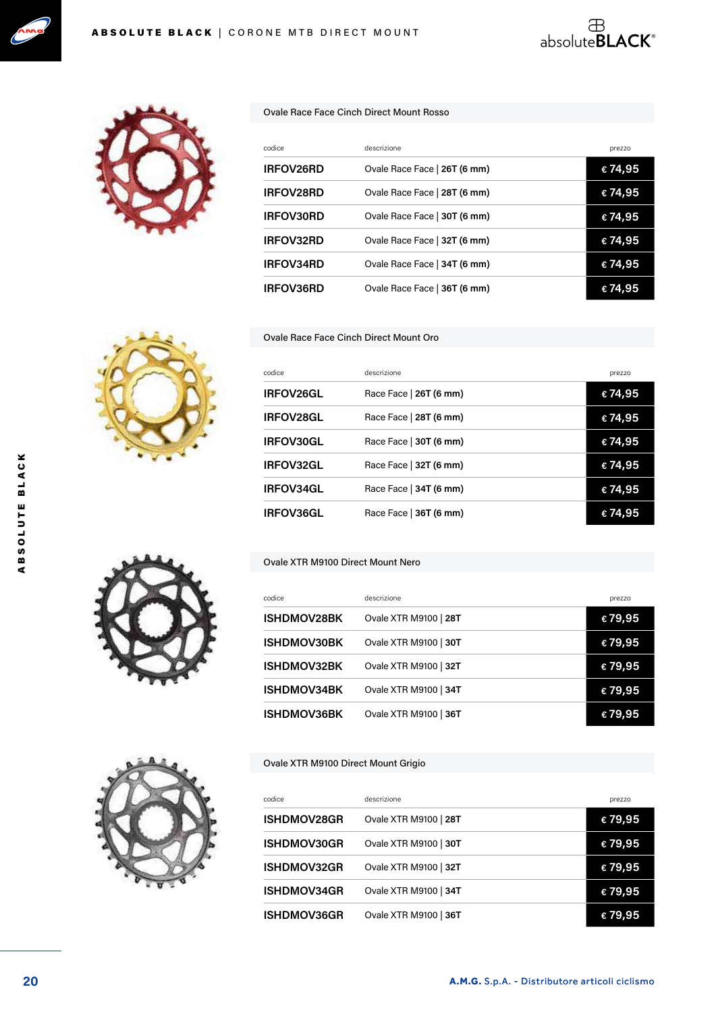



#### Ovale Race Face Cinch Direct Mount Rosso

| codice           | descrizione                  | prezzo  |
|------------------|------------------------------|---------|
| IRFOV26RD        | Ovale Race Face   26T (6 mm) | € 74,95 |
| <b>IRFOV28RD</b> | Ovale Race Face   28T (6 mm) | € 74,95 |
| IRFOV30RD        | Ovale Race Face   30T (6 mm) | €74,95  |
| <b>IRFOV32RD</b> | Ovale Race Face   32T (6 mm) | € 74,95 |
| <b>IRFOV34RD</b> | Ovale Race Face   34T (6 mm) | € 74,95 |
| <b>IRFOV36RD</b> | Ovale Race Face   36T (6 mm) |         |

 $\overset{\oplus}{\text{absolute}}$ BLACK®

Ovale Race Face Cinch Direct Mount Oro

| codice           | descrizione            | prezzo |
|------------------|------------------------|--------|
| <b>IRFOV26GL</b> | Race Face   26T (6 mm) | €74,95 |
| <b>IRFOV28GL</b> | Race Face   28T (6 mm) | €74,95 |
| <b>IRFOV30GL</b> | Race Face   30T (6 mm) | €74,95 |
| <b>IRFOV32GL</b> | Race Face   32T (6 mm) | €74,95 |
| <b>IRFOV34GL</b> | Race Face   34T (6 mm) | €74,95 |
| <b>IRFOV36GL</b> | Race Face   36T (6 mm) | €74,95 |

#### Ovale XTR M9100 Direct Mount Nero

| codice             | descrizione           | prezzo  |
|--------------------|-----------------------|---------|
| <b>ISHDMOV28BK</b> | Ovale XTR M9100   28T | €79,95  |
| <b>ISHDMOV30BK</b> | Ovale XTR M9100   30T | €79,95  |
| <b>ISHDMOV32BK</b> | Ovale XTR M9100   32T | €79,95  |
| <b>ISHDMOV34BK</b> | Ovale XTR M9100   34T | €79,95  |
| <b>ISHDMOV36BK</b> | Ovale XTR M9100   36T | € 79,95 |

#### Ovale XTR M9100 Direct Mount Grigio

| codice             | descrizione           | prezzo  |
|--------------------|-----------------------|---------|
| <b>ISHDMOV28GR</b> | Ovale XTR M9100   28T | €79,95  |
| <b>ISHDMOV30GR</b> | Ovale XTR M9100   30T | €79,95  |
| <b>ISHDMOV32GR</b> | Ovale XTR M9100   32T | €79,95  |
| <b>ISHDMOV34GR</b> | Ovale XTR M9100   34T | €79,95  |
| <b>ISHDMOV36GR</b> | Ovale XTR M9100   36T | € 79,95 |





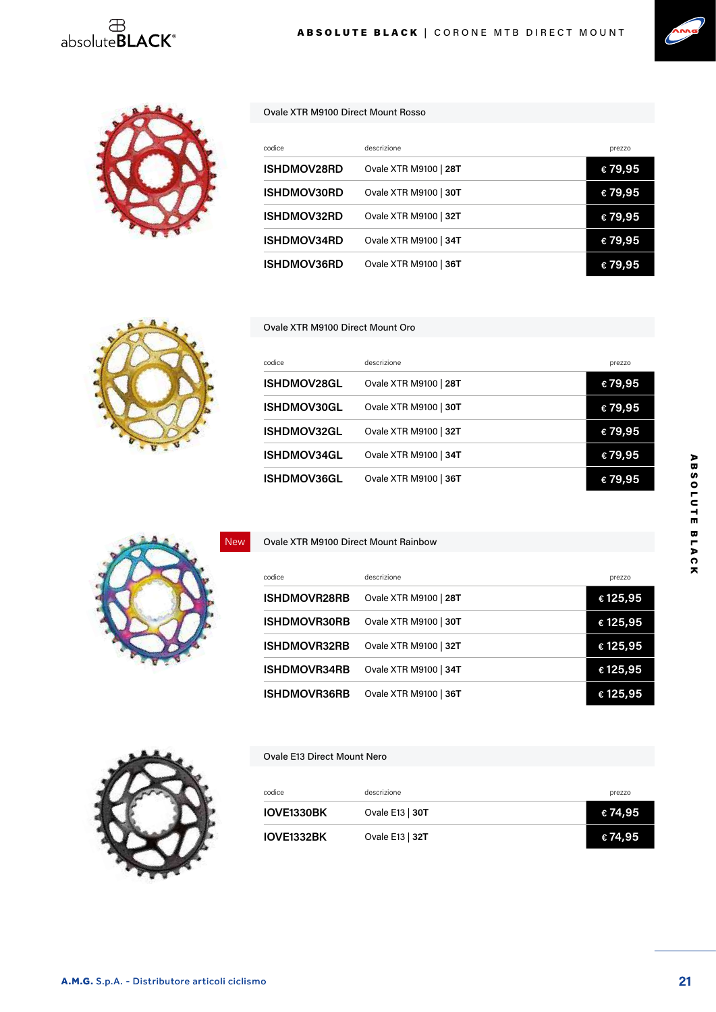





#### Ovale XTR M9100 Direct Mount Rosso

| codice             | descrizione           | prezzo  |
|--------------------|-----------------------|---------|
| <b>ISHDMOV28RD</b> | Ovale XTR M9100   28T | €79,95  |
| <b>ISHDMOV30RD</b> | Ovale XTR M9100   30T | €79,95  |
| <b>ISHDMOV32RD</b> | Ovale XTR M9100   32T | €79,95  |
| <b>ISHDMOV34RD</b> | Ovale XTR M9100   34T | €79,95  |
| <b>ISHDMOV36RD</b> | Ovale XTR M9100   36T | € 79.95 |



#### Ovale XTR M9100 Direct Mount Oro

Ovale XTR M9100 Direct Mount Rainbow

| codice             | descrizione           | prezzo  |
|--------------------|-----------------------|---------|
| <b>ISHDMOV28GL</b> | Ovale XTR M9100   28T | €79,95  |
| <b>ISHDMOV30GL</b> | Ovale XTR M9100   30T | €79,95  |
| <b>ISHDMOV32GL</b> | Ovale XTR M9100   32T | €79,95  |
| <b>ISHDMOV34GL</b> | Ovale XTR M9100   34T | €79,95  |
| <b>ISHDMOV36GL</b> | Ovale XTR M9100   36T | € 79,95 |



### codice descrizione descrizione descrizione descrizione descrizione descrizione descrizione descrizione descri **ISHDMOVR28RB** Ovale XTR M9100 | **28T € 125,95 ISHDMOVR30RB** Ovale XTR M9100 | **30T € 125,95 ISHDMOVR32RB** Ovale XTR M9100 | **32T € 125,95 ISHDMOVR34RB** Ovale XTR M9100 | **34T € 125,95**



#### Ovale E13 Direct Mount Nero

| codice     | descrizione       | prezzo  |
|------------|-------------------|---------|
| IOVE1330BK | Ovale E13   $30T$ | € 74,95 |
| IOVE1332BK | Ovale E13   32T   | € 74,95 |

**ISHDMOVR36RB** Ovale XTR M9100 | **36T € 125,95**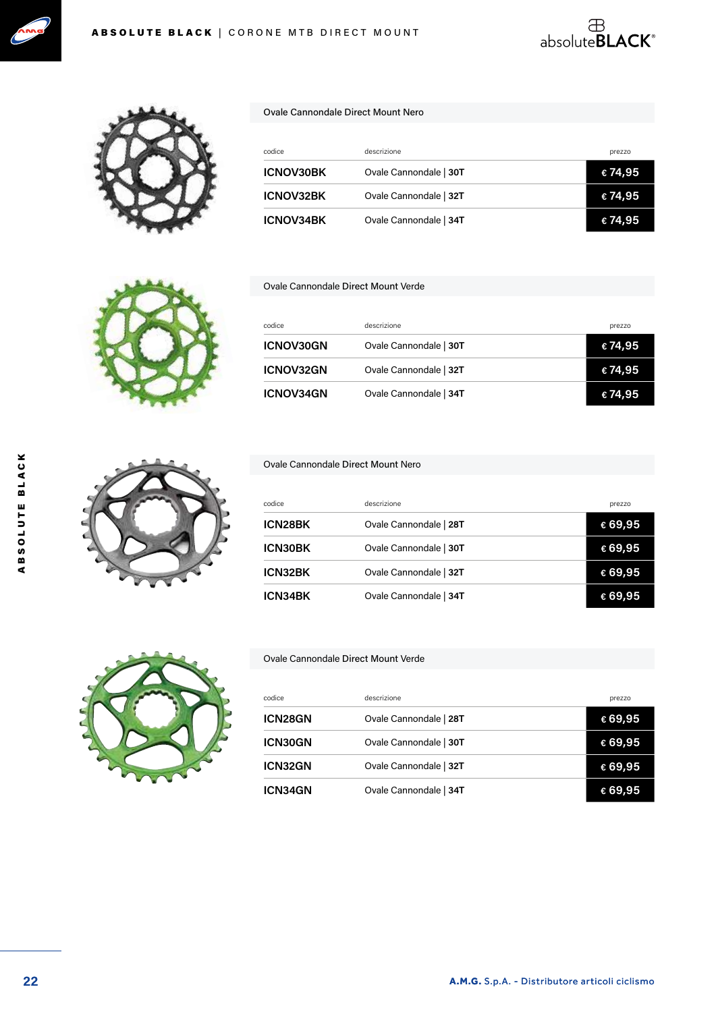



| codice           | descrizione            | prezzo  |  |
|------------------|------------------------|---------|--|
| <b>ICNOV30BK</b> | Ovale Cannondale   30T | € 74,95 |  |
| <b>ICNOV32BK</b> | Ovale Cannondale   32T | € 74,95 |  |
| <b>ICNOV34BK</b> | Ovale Cannondale   34T | € 74,95 |  |

absolute**BLACK**®

#### Ovale Cannondale Direct Mount Verde

Ovale Cannondale Direct Mount Nero

| codice           | descrizione            | prezzo  |
|------------------|------------------------|---------|
| ICNOV30GN        | Ovale Cannondale   30T | € 74,95 |
| <b>ICNOV32GN</b> | Ovale Cannondale   32T | € 74,95 |
| <b>ICNOV34GN</b> | Ovale Cannondale   34T | €74,95  |

#### Ovale Cannondale Direct Mount Nero

| codice         | descrizione            | prezzo  |
|----------------|------------------------|---------|
| ICN28BK        | Ovale Cannondale   28T | € 69,95 |
| <b>ICN30BK</b> | Ovale Cannondale   30T | €69,95  |
| ICN32BK        | Ovale Cannondale   32T | € 69,95 |
| <b>ICN34BK</b> | Ovale Cannondale   34T | € 69,95 |



#### Ovale Cannondale Direct Mount Verde

| codice         | descrizione            | prezzo           |
|----------------|------------------------|------------------|
| <b>ICN28GN</b> | Ovale Cannondale   28T | € 69,95          |
| <b>ICN30GN</b> | Ovale Cannondale   30T | ∈ 69,95          |
| ICN32GN        | Ovale Cannondale   32T | $\epsilon$ 69,95 |
| <b>ICN34GN</b> | Ovale Cannondale   34T | ⊕69,95           |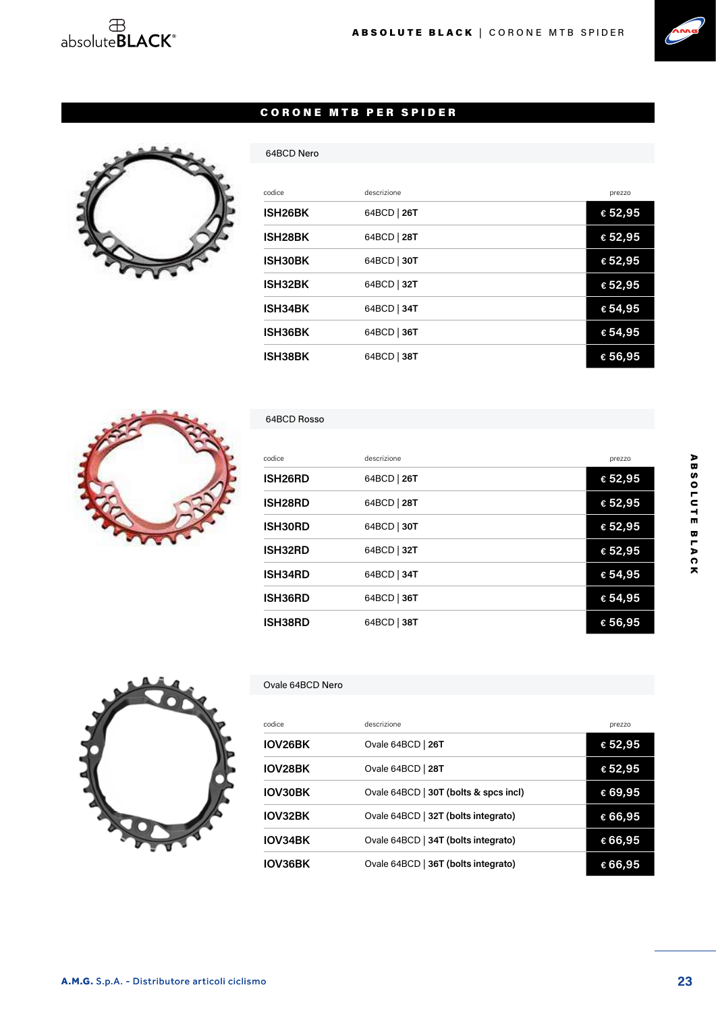## $\begin{array}{c}\text{ }\\ \oplus\\ \text{absolute}\textbf{BLACK}^{\circ}\end{array}$



#### CORONE MTB PER SPIDER



| codice               | descrizione | prezzo  |
|----------------------|-------------|---------|
| ISH26BK              | 64BCD   26T | € 52,95 |
| ISH <sub>28</sub> BK | 64BCD   28T | € 52,95 |
| ISH30BK              | 64BCD   30T | €52,95  |
| ISH32BK              | 64BCD   32T | €52,95  |
| ISH34BK              | 64BCD   34T | €54,95  |
| ISH36BK              | 64BCD   36T | €54,95  |
| <b>ISH38BK</b>       | 64BCD   38T | € 56,95 |



#### 64BCD Rosso

64BCD Nero

| codice               | descrizione | prezzo  |
|----------------------|-------------|---------|
| ISH <sub>26</sub> RD | 64BCD   26T | € 52,95 |
| ISH <sub>28</sub> RD | 64BCD   28T | € 52,95 |
| ISH30RD              | 64BCD   30T | € 52,95 |
| ISH32RD              | 64BCD   32T | € 52,95 |
| ISH34RD              | 64BCD   34T | € 54,95 |
| ISH36RD              | 64BCD   36T | € 54,95 |
| ISH38RD              | 64BCD   38T | € 56,95 |



#### Ovale 64BCD Nero

| codice         | descrizione                           | prezzo           |
|----------------|---------------------------------------|------------------|
| IOV26BK        | Ovale 64BCD   26T                     | € 52,95          |
| <b>IOV28BK</b> | Ovale 64BCD   28T                     | € 52,95          |
| <b>IOV30BK</b> | Ovale 64BCD   30T (bolts & spcs incl) | $\epsilon$ 69,95 |
| IOV32BK        | Ovale 64BCD   32T (bolts integrato)   | € 66,95          |
| IOV34BK        | Ovale 64BCD   34T (bolts integrato)   | €66,95           |
| IOV36BK        | Ovale 64BCD   36T (bolts integrato)   | €66,95           |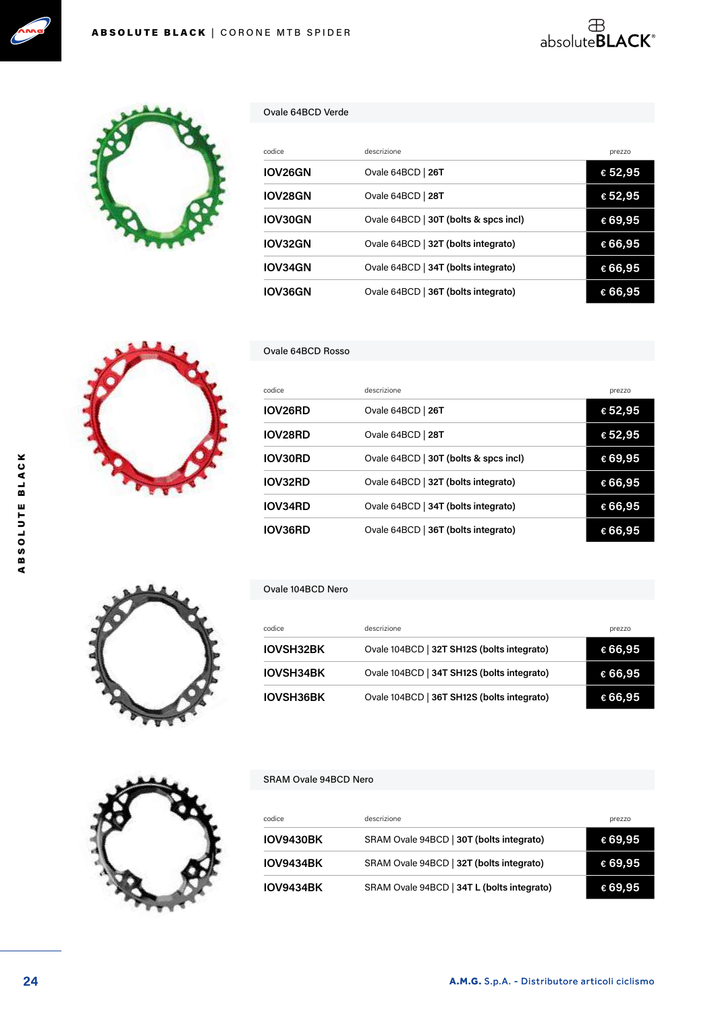



#### Ovale 64BCD Verde

| codice  | descrizione                           | prezzo           |
|---------|---------------------------------------|------------------|
| IOV26GN | Ovale 64BCD   26T                     | € 52,95          |
| IOV28GN | Ovale 64BCD   28T                     | $\epsilon$ 52,95 |
| IOV30GN | Ovale 64BCD   30T (bolts & spcs incl) | $\epsilon$ 69,95 |
| IOV32GN | Ovale 64BCD   32T (bolts integrato)   | €66,95           |
| IOV34GN | Ovale 64BCD   34T (bolts integrato)   | €66,95           |
| IOV36GN | Ovale 64BCD   36T (bolts integrato)   | € 66,95          |

absolute**BLACK**®



#### Ovale 64BCD Rosso

| codice  | descrizione                           | prezzo           |
|---------|---------------------------------------|------------------|
| IOV26RD | Ovale 64BCD   26T                     | $\epsilon$ 52,95 |
| IOV28RD | Ovale 64BCD   28T                     | $\epsilon$ 52,95 |
| IOV30RD | Ovale 64BCD   30T (bolts & spcs incl) | $\epsilon$ 69,95 |
| IOV32RD | Ovale 64BCD   32T (bolts integrato)   | €66,95           |
| IOV34RD | Ovale 64BCD   34T (bolts integrato)   | €66,95           |
| IOV36RD | Ovale 64BCD   36T (bolts integrato)   | $\epsilon$ 66,95 |

#### Ovale 104BCD Nero

| codice           | descrizione                                | prezzo           |
|------------------|--------------------------------------------|------------------|
| <b>IOVSH32BK</b> | Ovale 104BCD   32T SH12S (bolts integrato) | € 66,95          |
| <b>IOVSH34BK</b> | Ovale 104BCD   34T SH12S (bolts integrato) | € 66,95          |
| <b>IOVSH36BK</b> | Ovale 104BCD   36T SH12S (bolts integrato) | $\epsilon$ 66,95 |

#### SRAM Ovale 94BCD Nero

| codice           | descrizione                                | prezzo  |
|------------------|--------------------------------------------|---------|
| <b>IOV9430BK</b> | SRAM Ovale 94BCD   30T (bolts integrato)   | € 69,95 |
| <b>IOV9434BK</b> | SRAM Ovale 94BCD   32T (bolts integrato)   | € 69,95 |
| <b>IOV9434BK</b> | SRAM Ovale 94BCD   34T L (bolts integrato) | € 69,95 |



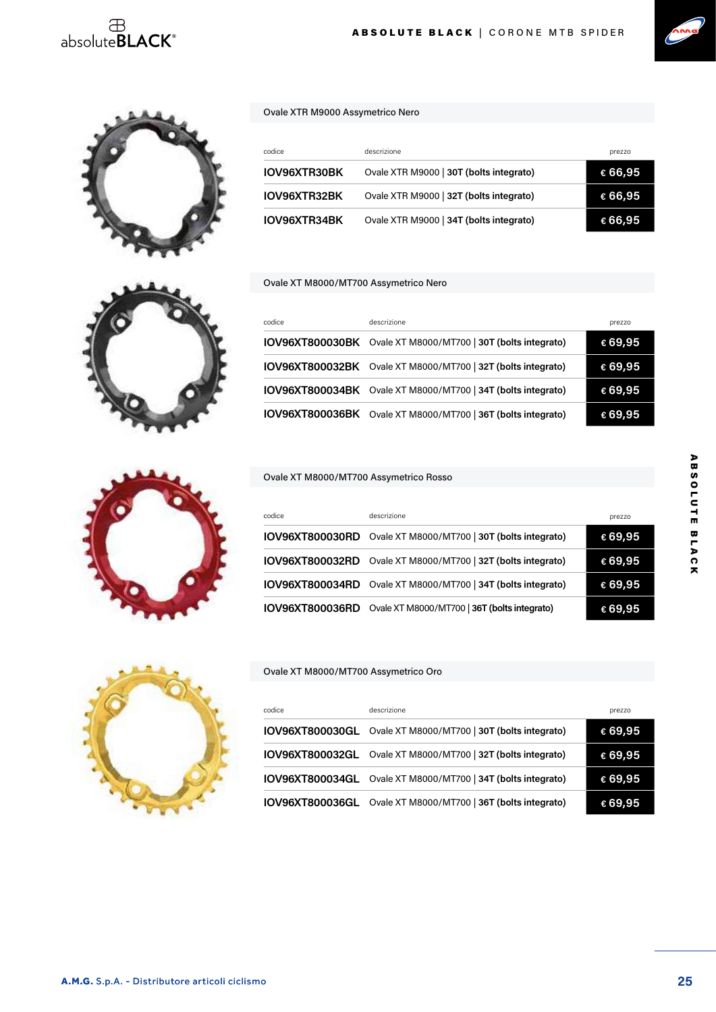## $\overset{\oplus}{\text{absolute}}$ BLACK®



ABSOLUTE BLACK | CORONE MTB SPIDER



#### Ovale XTR M9000 Assymetrico Nero

| codice              | descrizione                             | prezzo  |
|---------------------|-----------------------------------------|---------|
| <b>IOV96XTR30BK</b> | Ovale XTR M9000   30T (bolts integrato) | € 66,95 |
| IOV96XTR32BK        | Ovale XTR M9000   32T (bolts integrato) | € 66,95 |
| IOV96XTR34BK        | Ovale XTR M9000   34T (bolts integrato) | € 66,95 |

#### Ovale XT M8000/MT700 Assymetrico Nero

| codice                 | descrizione                                  | prezzo  |
|------------------------|----------------------------------------------|---------|
| IOV96XT800030BK        | Ovale XT M8000/MT700   30T (bolts integrato) | € 69,95 |
| IOV96XT800032BK        | Ovale XT M8000/MT700   32T (bolts integrato) | € 69,95 |
| <b>IOV96XT800034BK</b> | Ovale XT M8000/MT700   34T (bolts integrato) | €69,95  |
| <b>IOV96XT800036BK</b> | Ovale XT M8000/MT700   36T (bolts integrato) | €69,95  |

#### Ovale XT M8000/MT700 Assymetrico Rosso

| codice          | descrizione                                                  | prezzo  |
|-----------------|--------------------------------------------------------------|---------|
|                 | IOV96XT800030RD Ovale XT M8000/MT700   30T (bolts integrato) | €69,95  |
|                 | IOV96XT800032RD Ovale XT M8000/MT700   32T (bolts integrato) | €69,95  |
|                 | IOV96XT800034RD Ovale XT M8000/MT700   34T (bolts integrato) | € 69,95 |
| IOV96XT800036RD | Ovale XT M8000/MT700   36T (bolts integrato)                 | € 69,95 |

#### Ovale XT M8000/MT700 Assymetrico Oro

| codice          | descrizione                                  | prezzo  |
|-----------------|----------------------------------------------|---------|
| IOV96XT800030GL | Ovale XT M8000/MT700   30T (bolts integrato) | € 69,95 |
| IOV96XT800032GL | Ovale XT M8000/MT700   32T (bolts integrato) | € 69,95 |
| IOV96XT800034GL | Ovale XT M8000/MT700   34T (bolts integrato) | € 69,95 |
| IOV96XT800036GL | Ovale XT M8000/MT700   36T (bolts integrato) | €69,95  |





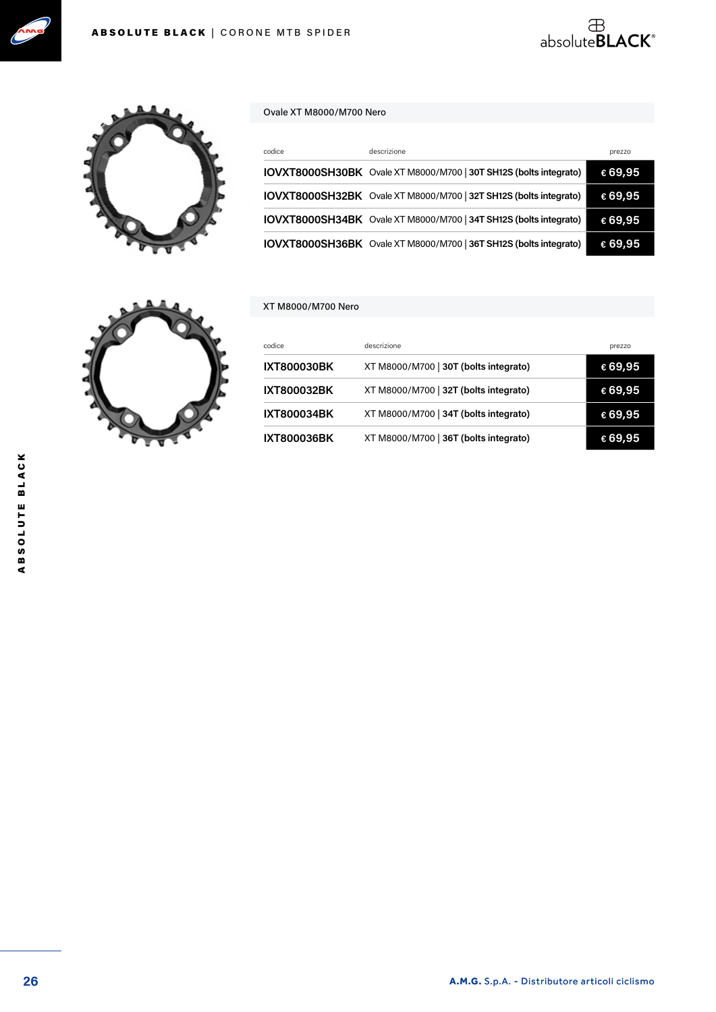



#### Ovale XT M8000/M700 Nero

| codice | descrizione                                                       | prezzo  |
|--------|-------------------------------------------------------------------|---------|
|        | IOVXT8000SH30BK Ovale XT M8000/M700   30T SH12S (bolts integrato) | €69,95  |
|        | IOVXT8000SH32BK Ovale XT M8000/M700   32T SH12S (bolts integrato) | €69,95  |
|        | IOVXT8000SH34BK Ovale XT M8000/M700   34T SH12S (bolts integrato) | €69,95  |
|        | IOVXT8000SH36BK Ovale XT M8000/M700   36T SH12S (bolts integrato) | € 69,95 |

absolute**BLACK**®

#### XT M8000/M700 Nero



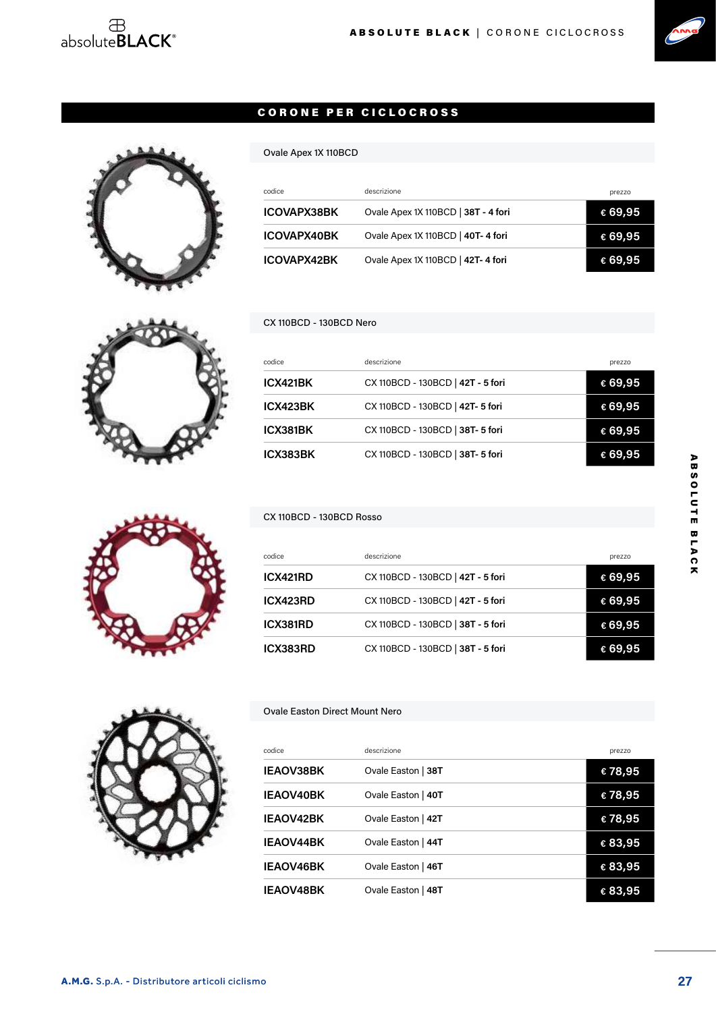

#### CORONE PER CICLOCROSS



#### CX 110BCD - 130BCD Nero

Ovale Apex 1X 110BCD

| codice   | descrizione                       | prezzo           |
|----------|-----------------------------------|------------------|
| ICX421BK | CX 110BCD - 130BCD   42T - 5 fori | € 69,95          |
| ICX423BK | CX 110BCD - 130BCD   42T- 5 fori  | € 69,95          |
| ICX381BK | CX 110BCD - 130BCD   38T- 5 fori  | € 69,95          |
| ICX383BK | CX 110BCD - 130BCD   38T- 5 fori  | $\epsilon$ 69.95 |

codice descrizione descrizione descrizione descrizione descrizione descrizione descrizione descrizione descri **ICOVAPX38BK** Ovale Apex 1X 110BCD | **38T - 4 fori € 69,95 ICOVAPX40BK** Ovale Apex 1X 110BCD | **40T- 4 fori € 69,95 ICOVAPX42BK** Ovale Apex 1X 110BCD | **42T- 4 fori € 69,95**

#### CX 110BCD - 130BCD Rosso

| codice   | descrizione                       | prezzo           |
|----------|-----------------------------------|------------------|
| ICX421RD | CX 110BCD - 130BCD   42T - 5 fori | € 69,95          |
| ICX423RD | CX 110BCD - 130BCD   42T - 5 fori | € 69,95          |
| ICX381RD | CX 110BCD - 130BCD   38T - 5 fori | €69,95           |
| ICX383RD | CX 110BCD - 130BCD   38T - 5 fori | $\epsilon$ 69,95 |



#### Ovale Easton Direct Mount Nero

| codice           | descrizione        | prezzo  |
|------------------|--------------------|---------|
| <b>IEAOV38BK</b> | Ovale Easton   38T | €78,95  |
| <b>IEAOV40BK</b> | Ovale Easton   40T | €78,95  |
| <b>IEAOV42BK</b> | Ovale Easton   42T | €78,95  |
| <b>IEAOV44BK</b> | Ovale Easton   44T | € 83,95 |
| <b>IEAOV46BK</b> | Ovale Easton   46T | € 83,95 |
| <b>IEAOV48BK</b> | Ovale Easton   48T | € 83,95 |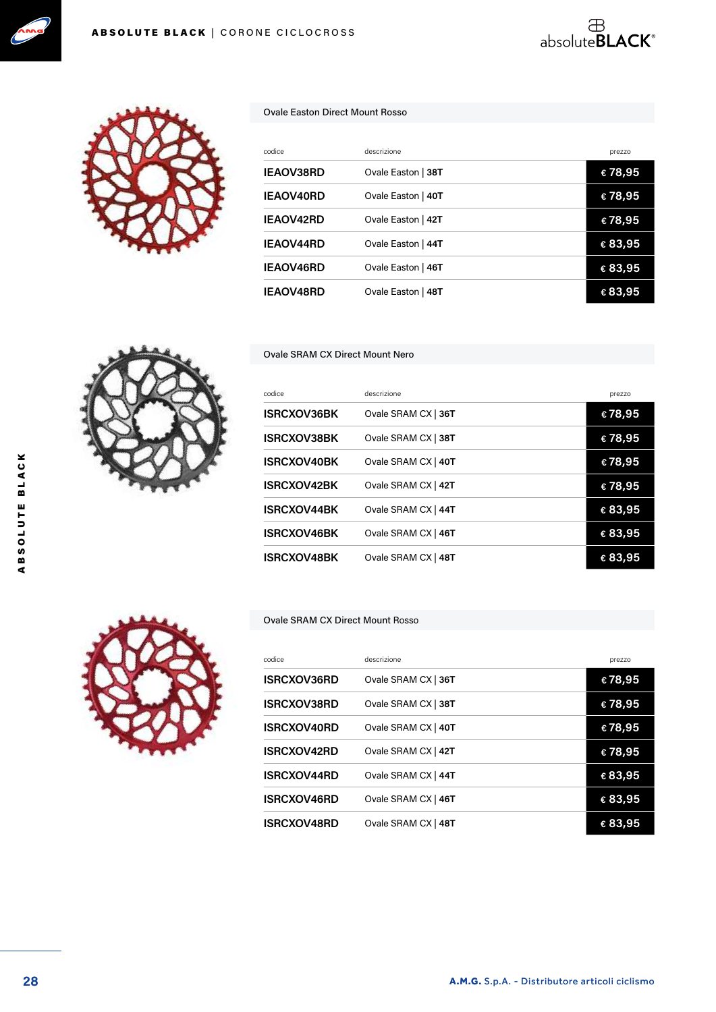



#### Ovale Easton Direct Mount Rosso

| codice           | descrizione        | prezzo  |
|------------------|--------------------|---------|
| <b>IEAOV38RD</b> | Ovale Easton   38T | €78,95  |
| <b>IEAOV40RD</b> | Ovale Easton   40T | €78,95  |
| IEAOV42RD        | Ovale Easton   42T | €78,95  |
| <b>IEAOV44RD</b> | Ovale Easton   44T | € 83,95 |
| <b>IEAOV46RD</b> | Ovale Easton   46T | € 83,95 |
| <b>IEAOV48RD</b> | Ovale Easton   48T | € 83,95 |

absolute**BLACK**®

Ovale SRAM CX Direct Mount Nero

| codice             | descrizione         | prezzo  |
|--------------------|---------------------|---------|
| <b>ISRCXOV36BK</b> | Ovale SRAM CX   36T | €78,95  |
| <b>ISRCXOV38BK</b> | Ovale SRAM CX   38T | €78,95  |
| <b>ISRCXOV40BK</b> | Ovale SRAM CX   40T | €78,95  |
| <b>ISRCXOV42BK</b> | Ovale SRAM CX   42T | €78,95  |
| <b>ISRCXOV44BK</b> | Ovale SRAM CX   44T | € 83,95 |
| <b>ISRCXOV46BK</b> | Ovale SRAM CX   46T | € 83,95 |
| <b>ISRCXOV48BK</b> | Ovale SRAM CX   48T | € 83,95 |

#### Ovale SRAM CX Direct Mount Rosso

| codice             | descrizione         | prezzo           |
|--------------------|---------------------|------------------|
| <b>ISRCXOV36RD</b> | Ovale SRAM CX   36T | €78,95           |
| <b>ISRCXOV38RD</b> | Ovale SRAM CX   38T | €78,95           |
| <b>ISRCXOV40RD</b> | Ovale SRAM CX   40T | €78,95           |
| <b>ISRCXOV42RD</b> | Ovale SRAM CX   42T | €78,95           |
| <b>ISRCXOV44RD</b> | Ovale SRAM CX   44T | € 83,95          |
| ISRCXOV46RD        | Ovale SRAM CX   46T | € 83,95          |
| <b>ISRCXOV48RD</b> | Ovale SRAM CX   48T | $\epsilon$ 83,95 |

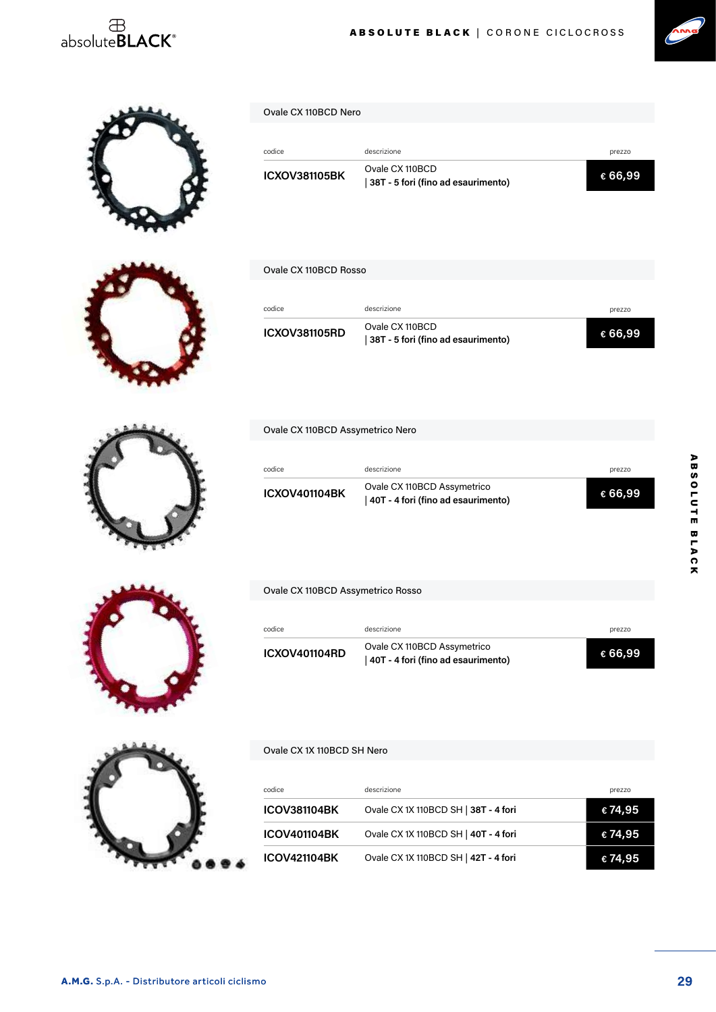## $\overset{\text{\tiny{\textsf{B}}}}{\text{\tiny{absoluteBLACK}^{\circ}}}$



## Ovale CX 110BCD Nero

| codice               | descrizione                                           | prezzo  |
|----------------------|-------------------------------------------------------|---------|
| <b>ICXOV381105BK</b> | Ovale CX 110BCD<br>38T - 5 fori (fino ad esaurimento) | € 66.99 |

ABSOLUTE BLACK | CORONE CICLOCROSS

#### Ovale CX 110BCD Rosso

| codice               | descrizione                                             | prezzo   |
|----------------------|---------------------------------------------------------|----------|
| <b>ICXOV381105RD</b> | Ovale CX 110BCD<br>  38T - 5 fori (fino ad esaurimento) | € 66.99⊧ |

Ovale CX 110BCD Assymetrico Nero

| codice               | descrizione                                                         | prezzo  |
|----------------------|---------------------------------------------------------------------|---------|
| <b>ICXOV401104BK</b> | Ovale CX 110BCD Assymetrico<br>  40T - 4 fori (fino ad esaurimento) | € 66,99 |



#### Ovale CX 110BCD Assymetrico Rosso

| codice               | descrizione                                                         | prezzo  |
|----------------------|---------------------------------------------------------------------|---------|
| <b>ICXOV401104RD</b> | Ovale CX 110BCD Assymetrico<br>  40T - 4 fori (fino ad esaurimento) | € 66,99 |



#### Ovale CX 1X 110BCD SH Nero

| codice              | descrizione                          | prezzo  |
|---------------------|--------------------------------------|---------|
| <b>ICOV381104BK</b> | Ovale CX 1X 110BCD SH   38T - 4 fori | €74,95  |
| <b>ICOV401104BK</b> | Ovale CX 1X 110BCD SH   40T - 4 fori | € 74,95 |
| <b>ICOV421104BK</b> | Ovale CX 1X 110BCD SH   42T - 4 fori | € 74,95 |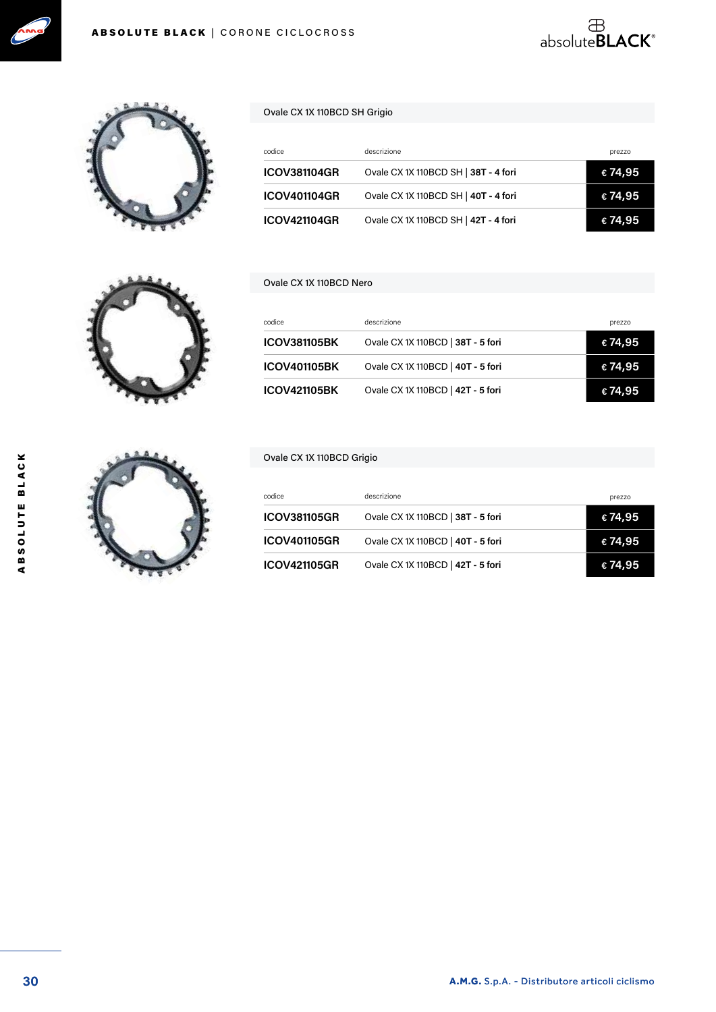





| codice              | descrizione                          | prezzo  |
|---------------------|--------------------------------------|---------|
| <b>ICOV381104GR</b> | Ovale CX 1X 110BCD SH   38T - 4 fori | € 74,95 |
| <b>ICOV401104GR</b> | Ovale CX 1X 110BCD SH   40T - 4 fori | € 74,95 |
| <b>ICOV421104GR</b> | Ovale CX 1X 110BCD SH   42T - 4 fori | € 74.95 |

absolute**BLACK**®

#### Ovale CX 1X 110BCD Nero

| codice              | descrizione                       | prezzo  |
|---------------------|-----------------------------------|---------|
| <b>ICOV381105BK</b> | Ovale CX 1X 110BCD   38T - 5 fori | € 74,95 |
| <b>ICOV401105BK</b> | Ovale CX 1X 110BCD   40T - 5 fori | € 74,95 |
| <b>ICOV421105BK</b> | Ovale CX 1X 110BCD   42T - 5 fori | €74,95  |

#### Ovale CX 1X 110BCD Grigio

| codice              | descrizione                       | prezzo  |
|---------------------|-----------------------------------|---------|
| <b>ICOV381105GR</b> | Ovale CX 1X 110BCD   38T - 5 fori | € 74,95 |
| <b>ICOV401105GR</b> | Ovale CX 1X 110BCD   40T - 5 fori | € 74,95 |
| <b>ICOV421105GR</b> | Ovale CX 1X 110BCD   42T - 5 fori | € 74,95 |



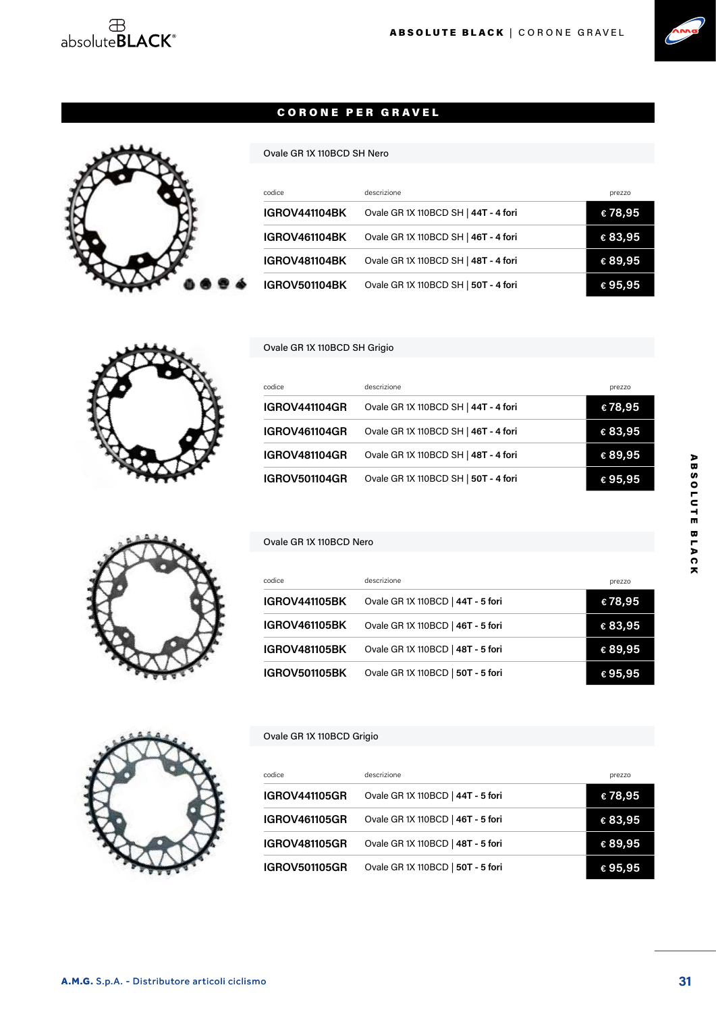## $\begin{array}{c}\text{ }\\ \oplus\\ \text{absolute}\textbf{BLACK}^{\circ}\end{array}$





#### CORONE PER GRAVEL

#### Ovale GR 1X 110BCD SH Nero

| codice               | descrizione                          | prezzo  |
|----------------------|--------------------------------------|---------|
| <b>IGROV441104BK</b> | Ovale GR 1X 110BCD SH   44T - 4 fori | €78,95  |
| <b>IGROV461104BK</b> | Ovale GR 1X 110BCD SH   46T - 4 fori | € 83,95 |
| <b>IGROV481104BK</b> | Ovale GR 1X 110BCD SH   48T - 4 fori | € 89,95 |
| <b>IGROV501104BK</b> | Ovale GR 1X 110BCD SH   50T - 4 fori | € 95,95 |

#### Ovale GR 1X 110BCD SH Grigio

| codice               | descrizione                          | prezzo           |
|----------------------|--------------------------------------|------------------|
| <b>IGROV441104GR</b> | Ovale GR 1X 110BCD SH   44T - 4 fori | €78,95           |
| <b>IGROV461104GR</b> | Ovale GR 1X 110BCD SH   46T - 4 fori | € 83,95          |
| <b>IGROV481104GR</b> | Ovale GR 1X 110BCD SH   48T - 4 fori | € 89,95          |
| <b>IGROV501104GR</b> | Ovale GR 1X 110BCD SH   50T - 4 fori | $\epsilon$ 95,95 |

#### Ovale GR 1X 110BCD Nero

| codice               | descrizione                       | prezzo           |
|----------------------|-----------------------------------|------------------|
| <b>IGROV441105BK</b> | Ovale GR 1X 110BCD   44T - 5 fori | €78,95           |
| <b>IGROV461105BK</b> | Ovale GR 1X 110BCD   46T - 5 fori | € 83,95          |
| <b>IGROV481105BK</b> | Ovale GR 1X 110BCD   48T - 5 fori | € 89,95          |
| <b>IGROV501105BK</b> | Ovale GR 1X 110BCD   50T - 5 fori | $\epsilon$ 95,95 |



#### Ovale GR 1X 110BCD Grigio

| codice               | descrizione                       |                  |
|----------------------|-----------------------------------|------------------|
|                      |                                   | prezzo           |
| <b>IGROV441105GR</b> | Ovale GR 1X 110BCD   44T - 5 fori | €78,95           |
| <b>IGROV461105GR</b> | Ovale GR 1X 110BCD   46T - 5 fori | € 83,95          |
| <b>IGROV481105GR</b> | Ovale GR 1X 110BCD   48T - 5 fori | € 89,95          |
| <b>IGROV501105GR</b> | Ovale GR 1X 110BCD   50T - 5 fori | $\epsilon$ 95,95 |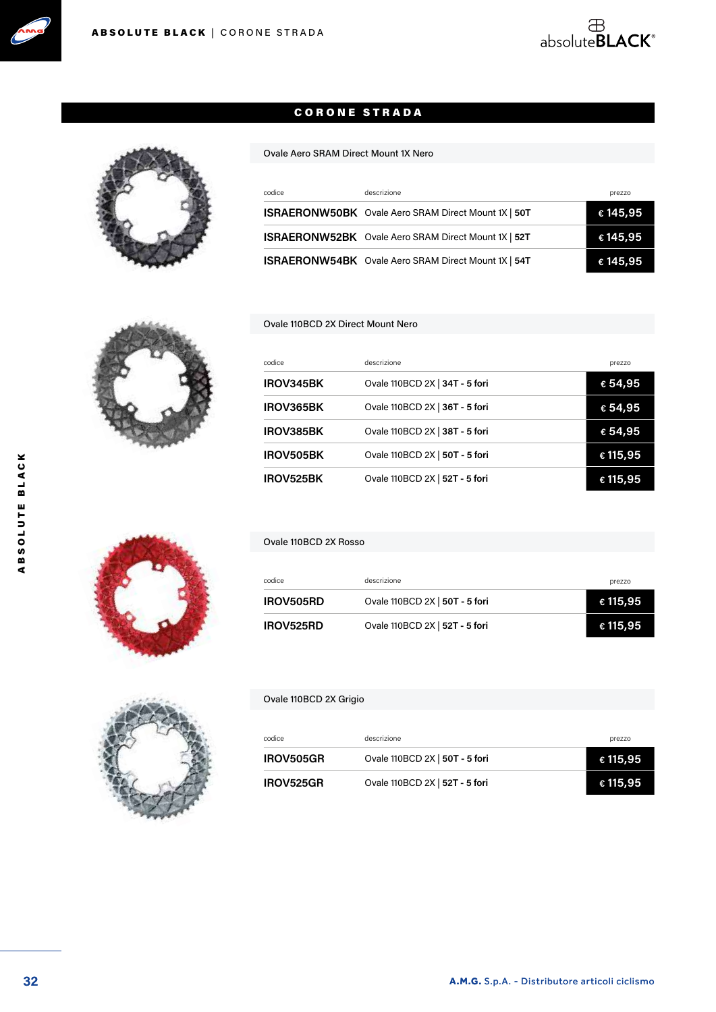

#### CORONE STRADA

#### Ovale Aero SRAM Direct Mount 1X Nero

| codice | descrizione                                                | prezzo            |
|--------|------------------------------------------------------------|-------------------|
|        | ISRAERONW50BK Ovale Aero SRAM Direct Mount 1X   50T        | € 145,95          |
|        | ISRAERONW52BK Ovale Aero SRAM Direct Mount 1X   52T        | $\epsilon$ 145,95 |
|        | <b>ISRAERONW54BK</b> Ovale Aero SRAM Direct Mount 1X   54T | € 145,95          |

#### Ovale 110BCD 2X Direct Mount Nero

| codice    | descrizione                    | prezzo   |
|-----------|--------------------------------|----------|
| IROV345BK | Ovale 110BCD 2X   34T - 5 fori | € 54,95  |
| IROV365BK | Ovale 110BCD 2X   36T - 5 fori | € 54,95  |
| IROV385BK | Ovale 110BCD 2X   38T - 5 fori | € 54,95  |
| IROV505BK | Ovale 110BCD 2X   50T - 5 fori | € 115,95 |
| IROV525BK | Ovale 110BCD 2X   52T - 5 fori | € 115,95 |



#### Ovale 110BCD 2X Rosso

| codice           | descrizione                    | prezzo   |
|------------------|--------------------------------|----------|
| IROV505RD        | Ovale 110BCD 2X   50T - 5 fori | € 115,95 |
| <b>IROV525RD</b> | Ovale 110BCD 2X   52T - 5 fori | € 115,95 |



#### Ovale 110BCD 2X Grigio

| codice    | descrizione                    | prezzo            |
|-----------|--------------------------------|-------------------|
| IROV505GR | Ovale 110BCD 2X   50T - 5 fori | $\epsilon$ 115,95 |
| IROV525GR | Ovale 110BCD 2X   52T - 5 fori | € 115,95          |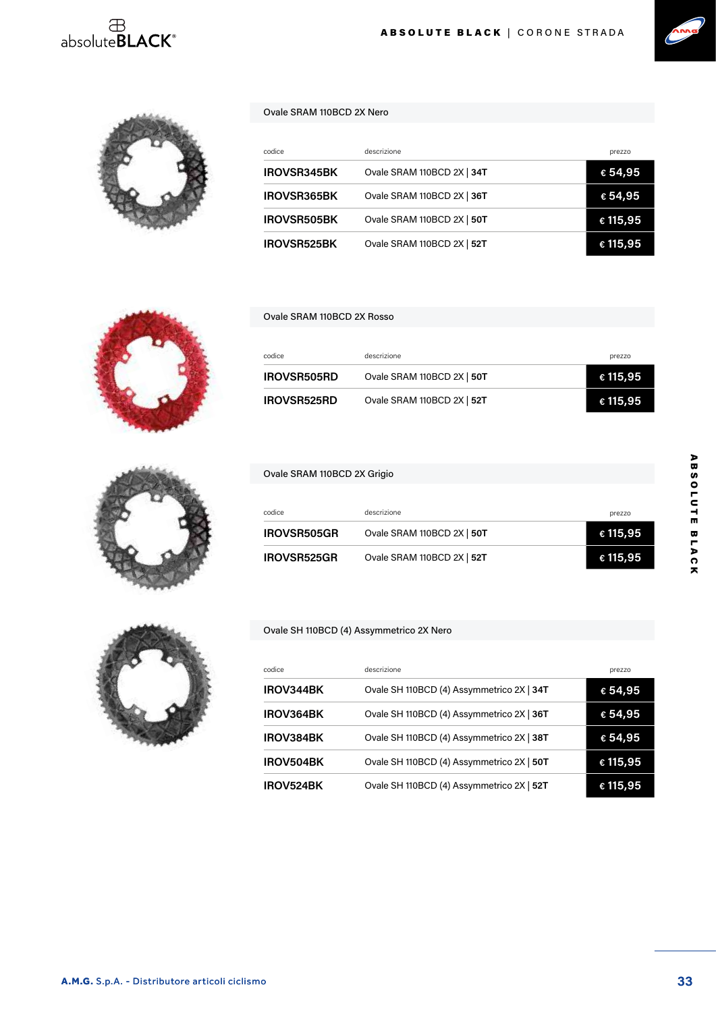## $\overset{\oplus}{\text{absolute}}$ BLACK®





#### Ovale SRAM 110BCD 2X Nero

| codice             | descrizione                | prezzo   |
|--------------------|----------------------------|----------|
| <b>IROVSR345BK</b> | Ovale SRAM 110BCD 2X   34T | € 54,95  |
| <b>IROVSR365BK</b> | Ovale SRAM 110BCD 2X   36T | € 54,95  |
| <b>IROVSR505BK</b> | Ovale SRAM 110BCD 2X   50T | € 115,95 |
| <b>IROVSR525BK</b> | Ovale SRAM 110BCD 2X   52T | € 115,95 |



#### Ovale SRAM 110BCD 2X Rosso

Ovale SRAM 110BCD 2X Grigio

| codice             | descrizione                | prezzo   |
|--------------------|----------------------------|----------|
| <b>IROVSR505RD</b> | Ovale SRAM 110BCD 2X   50T | € 115,95 |
| <b>IROVSR525RD</b> | Ovale SRAM 110BCD 2X   52T | € 115,95 |

| codice             | descrizione                | prezzo            |
|--------------------|----------------------------|-------------------|
| <b>IROVSR505GR</b> | Ovale SRAM 110BCD 2X   50T | $\epsilon$ 115,95 |
| <b>IROVSR525GR</b> | Ovale SRAM 110BCD 2X   52T | € 115,95          |

#### Ovale SH 110BCD (4) Assymmetrico 2X Nero

| codice    | descrizione                               | prezzo   |
|-----------|-------------------------------------------|----------|
| IROV344BK | Ovale SH 110BCD (4) Assymmetrico 2X   34T | € 54,95  |
| IROV364BK | Ovale SH 110BCD (4) Assymmetrico 2X   36T | € 54,95  |
| IROV384BK | Ovale SH 110BCD (4) Assymmetrico 2X   38T | € 54,95  |
| IROV504BK | Ovale SH 110BCD (4) Assymmetrico 2X   50T | € 115,95 |
| IROV524BK | Ovale SH 110BCD (4) Assymmetrico 2X   52T | € 115,95 |

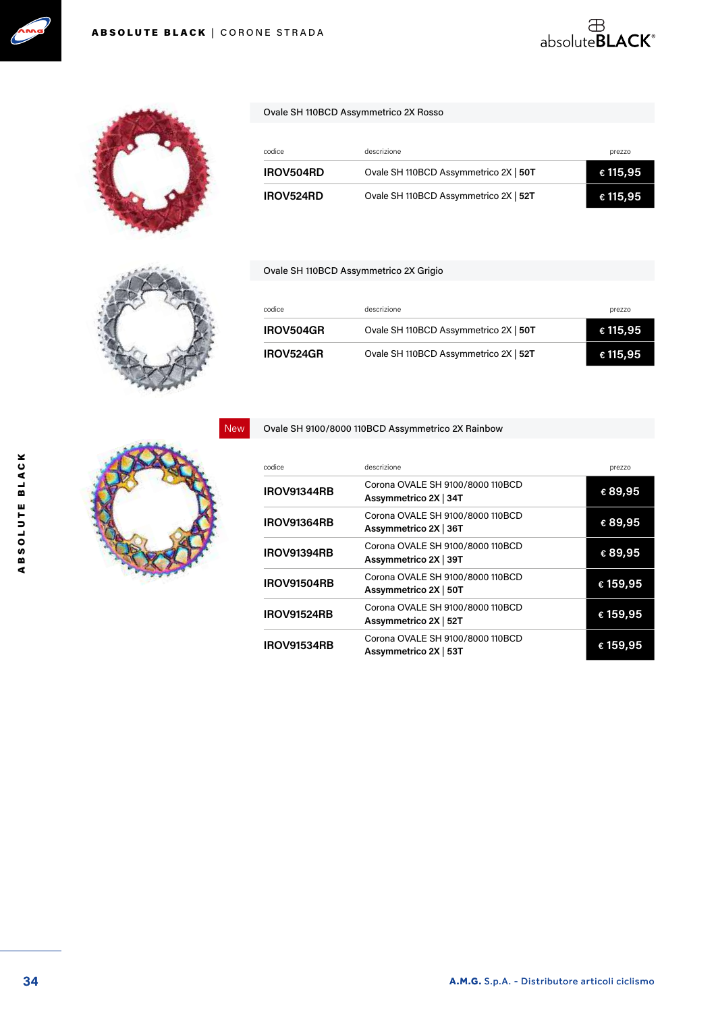



#### Ovale SH 110BCD Assymmetrico 2X Rosso

| codice           | descrizione                           | prezzo   |
|------------------|---------------------------------------|----------|
| <b>IROV504RD</b> | Ovale SH 110BCD Assymmetrico 2X   50T | € 115,95 |
| <b>IROV524RD</b> | Ovale SH 110BCD Assymmetrico 2X   52T | € 115,95 |

 $\overset{\text{\tiny{\textsf{B}}}}{\text{\tiny{absoluteBLACK}^{\circ}}}$ 

#### Ovale SH 110BCD Assymmetrico 2X Grigio

| codice           | descrizione                           | prezzo   |
|------------------|---------------------------------------|----------|
| <b>IROV504GR</b> | Ovale SH 110BCD Assymmetrico 2X   50T | € 115,95 |
| <b>IROV524GR</b> | Ovale SH 110BCD Assymmetrico 2X   52T | € 115,95 |

Ovale SH 9100/8000 110BCD Assymmetrico 2X Rainbow

| codice             | descrizione                                               | prezzo   |
|--------------------|-----------------------------------------------------------|----------|
| <b>IROV91344RB</b> | Corona OVALE SH 9100/8000 110BCD<br>Assymmetrico 2X   34T | €89,95   |
| <b>IROV91364RB</b> | Corona OVALE SH 9100/8000 110BCD<br>Assymmetrico 2X   36T | € 89,95  |
| <b>IROV91394RB</b> | Corona OVALE SH 9100/8000 110BCD<br>Assymmetrico 2X   39T | € 89,95  |
| <b>IROV91504RB</b> | Corona OVALE SH 9100/8000 110BCD<br>Assymmetrico 2X   50T | € 159,95 |
| <b>IROV91524RB</b> | Corona OVALE SH 9100/8000 110BCD<br>Assymmetrico 2X   52T | € 159,95 |
| <b>IROV91534RB</b> | Corona OVALE SH 9100/8000 110BCD<br>Assymmetrico 2X   53T | € 159,95 |





New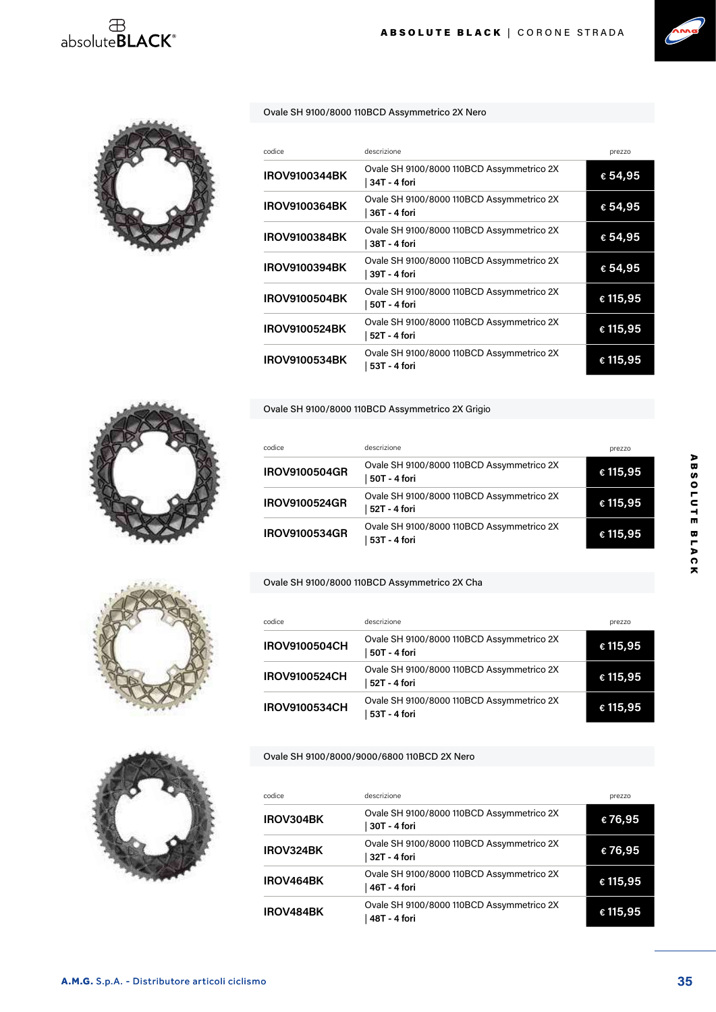## $\begin{array}{c}\n\oplus \\
\text{absolute} \text{BLACK}^*\n\end{array}$





Ovale SH 9100/8000 110BCD Assymmetrico 2X Nero

| codice               | descrizione                                               | prezzo   |
|----------------------|-----------------------------------------------------------|----------|
| <b>IROV9100344BK</b> | Ovale SH 9100/8000 110BCD Assymmetrico 2X<br>34T - 4 fori | € 54,95  |
| <b>IROV9100364BK</b> | Ovale SH 9100/8000 110BCD Assymmetrico 2X<br>36T - 4 fori | € 54,95  |
| <b>IROV9100384BK</b> | Ovale SH 9100/8000 110BCD Assymmetrico 2X<br>38T - 4 fori | € 54,95  |
| <b>IROV9100394BK</b> | Ovale SH 9100/8000 110BCD Assymmetrico 2X<br>39T - 4 fori | € 54,95  |
| <b>IROV9100504BK</b> | Ovale SH 9100/8000 110BCD Assymmetrico 2X<br>50T - 4 fori | € 115,95 |
| <b>IROV9100524BK</b> | Ovale SH 9100/8000 110BCD Assymmetrico 2X<br>52T - 4 fori | € 115,95 |
| <b>IROV9100534BK</b> | Ovale SH 9100/8000 110BCD Assymmetrico 2X<br>53T - 4 fori | € 115,95 |

Ovale SH 9100/8000 110BCD Assymmetrico 2X Grigio

| codice               | descrizione                                               | prezzo   |
|----------------------|-----------------------------------------------------------|----------|
| <b>IROV9100504GR</b> | Ovale SH 9100/8000 110BCD Assymmetrico 2X<br>50T - 4 fori | € 115,95 |
| <b>IROV9100524GR</b> | Ovale SH 9100/8000 110BCD Assymmetrico 2X<br>52T - 4 fori | € 115,95 |
| <b>IROV9100534GR</b> | Ovale SH 9100/8000 110BCD Assymmetrico 2X<br>53T - 4 fori | € 115,95 |

#### Ovale SH 9100/8000 110BCD Assymmetrico 2X Cha

| codice               | descrizione                                               | prezzo   |
|----------------------|-----------------------------------------------------------|----------|
| <b>IROV9100504CH</b> | Ovale SH 9100/8000 110BCD Assymmetrico 2X<br>50T - 4 fori | € 115,95 |
| <b>IROV9100524CH</b> | Ovale SH 9100/8000 110BCD Assymmetrico 2X<br>52T - 4 fori | € 115,95 |
| <b>IROV9100534CH</b> | Ovale SH 9100/8000 110BCD Assymmetrico 2X<br>53T - 4 fori | € 115,95 |

Ovale SH 9100/8000/9000/6800 110BCD 2X Nero

| codice    | descrizione                                               | prezzo   |
|-----------|-----------------------------------------------------------|----------|
| IROV304BK | Ovale SH 9100/8000 110BCD Assymmetrico 2X<br>30T - 4 fori | €76,95   |
| IROV324BK | Ovale SH 9100/8000 110BCD Assymmetrico 2X<br>32T - 4 fori | €76,95   |
| IROV464BK | Ovale SH 9100/8000 110BCD Assymmetrico 2X<br>46T - 4 fori | € 115,95 |
| IROV484BK | Ovale SH 9100/8000 110BCD Assymmetrico 2X<br>48T - 4 fori | € 115,95 |



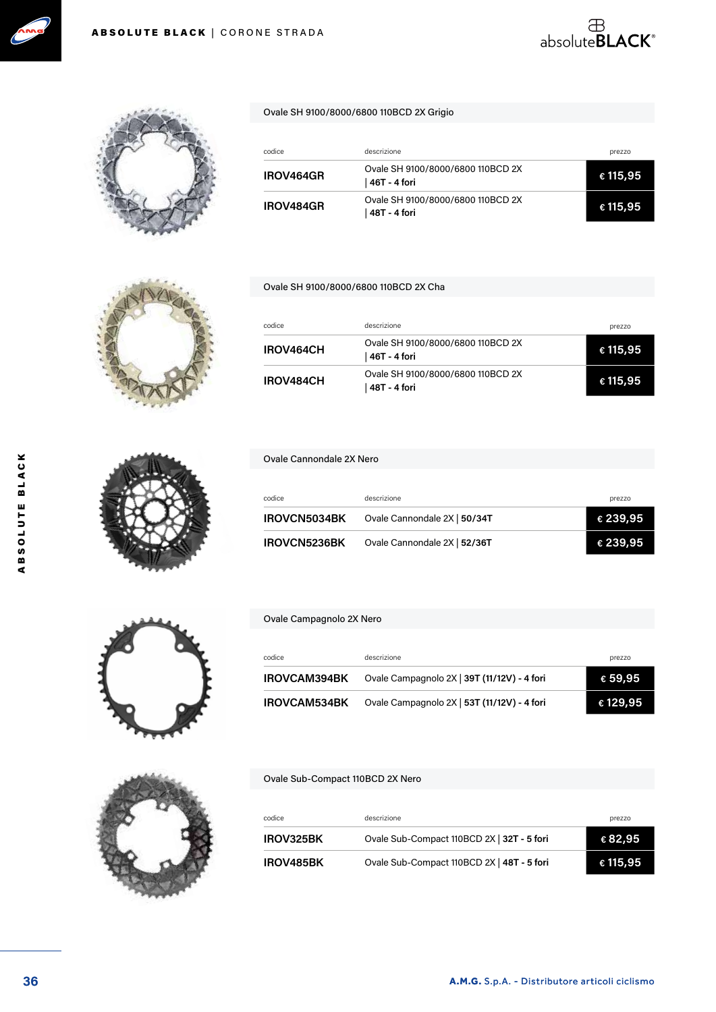



#### Ovale SH 9100/8000/6800 110BCD 2X Grigio

| codice           | descrizione                                         | prezzo            |
|------------------|-----------------------------------------------------|-------------------|
| <b>IROV464GR</b> | Ovale SH 9100/8000/6800 110BCD 2X<br>  46T - 4 fori | $\epsilon$ 115,95 |
| <b>IROV484GR</b> | Ovale SH 9100/8000/6800 110BCD 2X<br>  48T - 4 fori | € 115,95          |

#### Ovale SH 9100/8000/6800 110BCD 2X Cha

| codice           | descrizione                                         | prezzo   |
|------------------|-----------------------------------------------------|----------|
| IROV464CH        | Ovale SH 9100/8000/6800 110BCD 2X<br>  46T - 4 fori | € 115,95 |
| <b>IROV484CH</b> | Ovale SH 9100/8000/6800 110BCD 2X<br>  48T - 4 fori | € 115,95 |

#### Ovale Cannondale 2X Nero

| codice              | descrizione                  | prezzo   |
|---------------------|------------------------------|----------|
| <b>IROVCN5034BK</b> | Ovale Cannondale 2X   50/34T | € 239,95 |
| IROVCN5236BK        | Ovale Cannondale 2X   52/36T | € 239,95 |

#### Ovale Campagnolo 2X Nero

| codice              | descrizione                                 | prezzo           |
|---------------------|---------------------------------------------|------------------|
| <b>IROVCAM394BK</b> | Ovale Campagnolo 2X   39T (11/12V) - 4 fori | $\epsilon$ 59,95 |
| <b>IROVCAM534BK</b> | Ovale Campagnolo 2X   53T (11/12V) - 4 fori | € 129,95         |

#### Ovale Sub-Compact 110BCD 2X Nero

| codice           | descrizione                                | prezzo   |
|------------------|--------------------------------------------|----------|
| <b>IROV325BK</b> | Ovale Sub-Compact 110BCD 2X   32T - 5 fori | € 82,95  |
| <b>IROV485BK</b> | Ovale Sub-Compact 110BCD 2X   48T - 5 fori | € 115,95 |

ABSOLUTE BLACK

ABSOLUTE BLACK







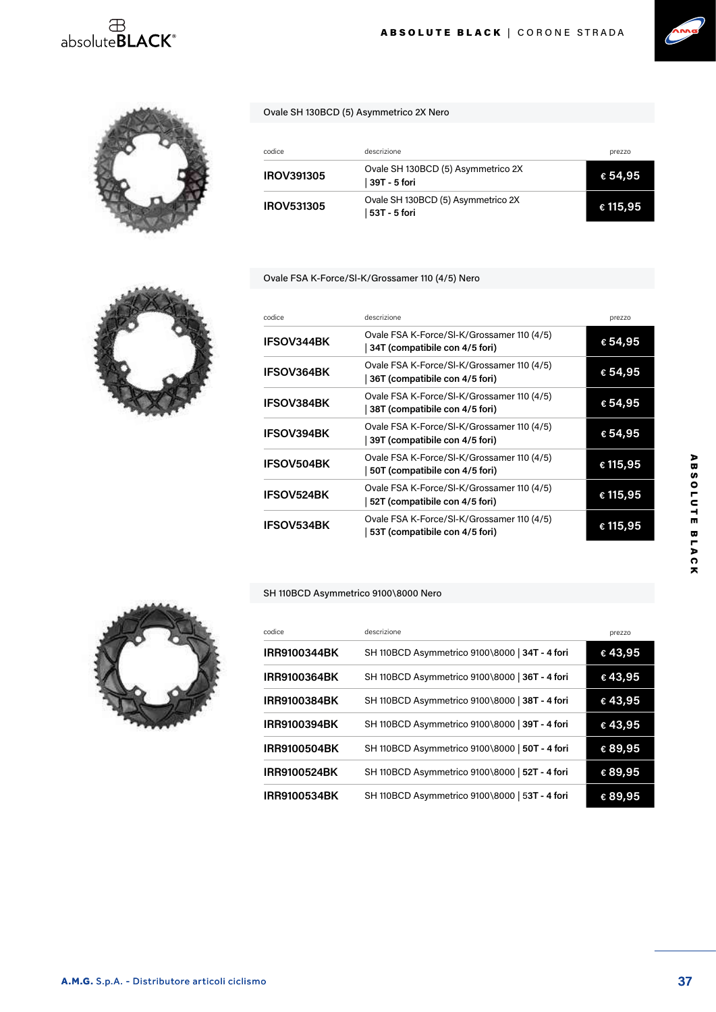## absolute**BLACK**<sup>®</sup>





| codice            | descrizione                                          | prezzo   |
|-------------------|------------------------------------------------------|----------|
| IROV391305        | Ovale SH 130BCD (5) Asymmetrico 2X<br>  39T - 5 fori | € 54,95  |
| <b>IROV531305</b> | Ovale SH 130BCD (5) Asymmetrico 2X<br>  53T - 5 fori | € 115,95 |

#### Ovale FSA K-Force/Sl-K/Grossamer 110 (4/5) Nero



#### SH 110BCD Asymmetrico 9100\8000 Nero







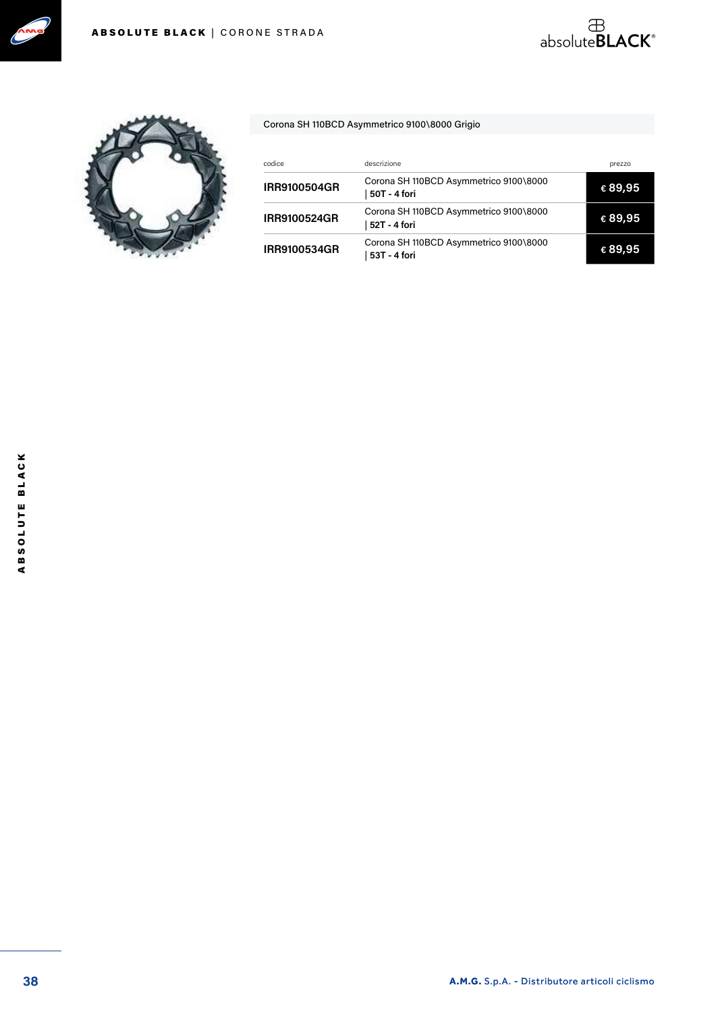





#### Corona SH 110BCD Asymmetrico 9100\8000 Grigio

| codice              | descrizione                                            | prezzo  |
|---------------------|--------------------------------------------------------|---------|
| <b>IRR9100504GR</b> | Corona SH 110BCD Asymmetrico 9100\8000<br>50T - 4 fori | € 89,95 |
| <b>IRR9100524GR</b> | Corona SH 110BCD Asymmetrico 9100\8000<br>52T - 4 fori | € 89,95 |
| <b>IRR9100534GR</b> | Corona SH 110BCD Asymmetrico 9100\8000<br>53T - 4 fori | € 89,95 |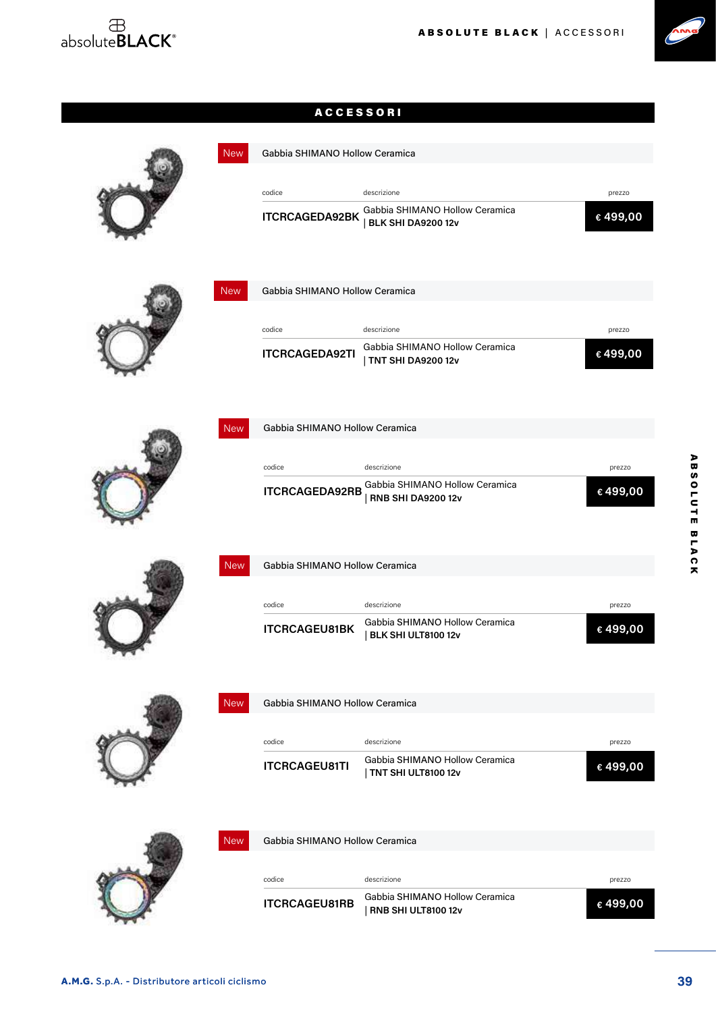



#### ACCESSORI

| <b>New</b> | Gabbia SHIMANO Hollow Ceramica |                                                              |         |
|------------|--------------------------------|--------------------------------------------------------------|---------|
|            | codice                         | descrizione                                                  | prezzo  |
|            | <b>ITCRCAGEDA92BK</b>          | Gabbia SHIMANO Hollow Ceramica<br><b>BLK SHI DA9200 12v</b>  | €499,00 |
| <b>New</b> | Gabbia SHIMANO Hollow Ceramica |                                                              |         |
|            | codice                         | descrizione                                                  | prezzo  |
|            | <b>ITCRCAGEDA92TI</b>          | Gabbia SHIMANO Hollow Ceramica<br><b>TNT SHI DA9200 12v</b>  | €499,00 |
| <b>New</b> | Gabbia SHIMANO Hollow Ceramica |                                                              |         |
|            |                                |                                                              |         |
|            | codice                         | descrizione<br>Gabbia SHIMANO Hollow Ceramica                | prezzo  |
|            | <b>ITCRCAGEDA92RB</b>          | <b>RNB SHI DA9200 12v</b>                                    | €499,00 |
| <b>New</b> | Gabbia SHIMANO Hollow Ceramica |                                                              |         |
|            | codice                         | descrizione                                                  | prezzo  |
|            | <b>ITCRCAGEU81BK</b>           | Gabbia SHIMANO Hollow Ceramica<br>BLK SHI ULT8100 12v        | €499,00 |
| <b>New</b> | Gabbia SHIMANO Hollow Ceramica |                                                              |         |
|            |                                |                                                              |         |
|            | codice                         | descrizione<br>Gabbia SHIMANO Hollow Ceramica                | prezzo  |
|            | <b>ITCRCAGEU81TI</b>           | TNT SHI ULT8100 12v                                          | €499,00 |
| <b>New</b> | Gabbia SHIMANO Hollow Ceramica |                                                              |         |
|            | codice                         | descrizione                                                  | prezzo  |
|            | <b>ITCRCAGEU81RB</b>           | Gabbia SHIMANO Hollow Ceramica<br><b>RNB SHI ULT8100 12v</b> | €499,00 |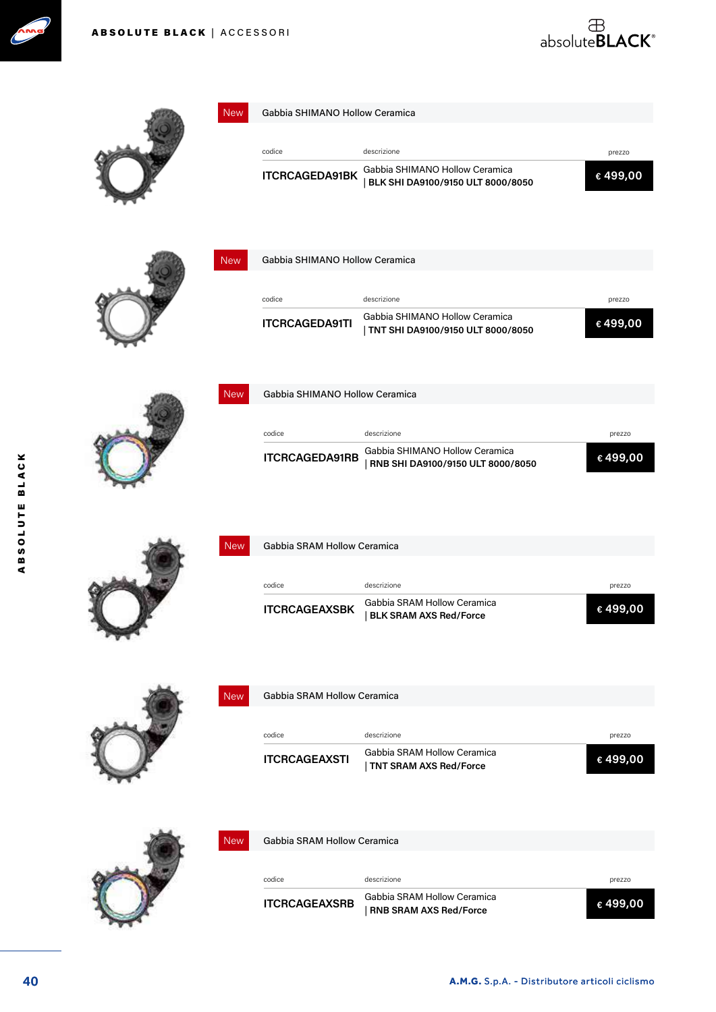



| <b>New</b> | Gabbia SHIMANO Hollow Ceramica |                                                                       |         |
|------------|--------------------------------|-----------------------------------------------------------------------|---------|
|            |                                |                                                                       |         |
|            | codice                         | descrizione                                                           | prezzo  |
|            | <b>ITCRCAGEDA91BK</b>          | Gabbia SHIMANO Hollow Ceramica<br>BLK SHI DA9100/9150 ULT 8000/8050   | €499,00 |
| <b>New</b> | Gabbia SHIMANO Hollow Ceramica |                                                                       |         |
|            |                                |                                                                       |         |
|            | codice                         | descrizione                                                           | prezzo  |
|            | <b>ITCRCAGEDA91TI</b>          | Gabbia SHIMANO Hollow Ceramica<br>  TNT SHI DA9100/9150 ULT 8000/8050 | €499,00 |
| <b>New</b> | Gabbia SHIMANO Hollow Ceramica |                                                                       |         |
|            |                                |                                                                       |         |
|            | codice                         | descrizione                                                           | prezzo  |
|            | <b>ITCRCAGEDA91RB</b>          | Gabbia SHIMANO Hollow Ceramica<br>RNB SHI DA9100/9150 ULT 8000/8050   | €499,00 |
| <b>New</b> | Gabbia SRAM Hollow Ceramica    |                                                                       |         |
|            | codice                         | descrizione                                                           | prezzo  |
|            | <b>ITCRCAGEAXSBK</b>           | Gabbia SRAM Hollow Ceramica<br><b>BLK SRAM AXS Red/Force</b>          | €499,00 |
| <b>New</b> | Gabbia SRAM Hollow Ceramica    |                                                                       |         |
|            |                                |                                                                       |         |
|            | codice                         | descrizione                                                           | prezzo  |
|            | <b>ITCRCAGEAXSTI</b>           | Gabbia SRAM Hollow Ceramica<br><b>TNT SRAM AXS Red/Force</b>          | €499,00 |
|            |                                |                                                                       |         |
| <b>New</b> | Gabbia SRAM Hollow Ceramica    |                                                                       |         |
|            | codice                         | descrizione                                                           | prezzo  |
|            | <b>ITCRCAGEAXSRB</b>           | Gabbia SRAM Hollow Ceramica<br><b>RNB SRAM AXS Red/Force</b>          | €499,00 |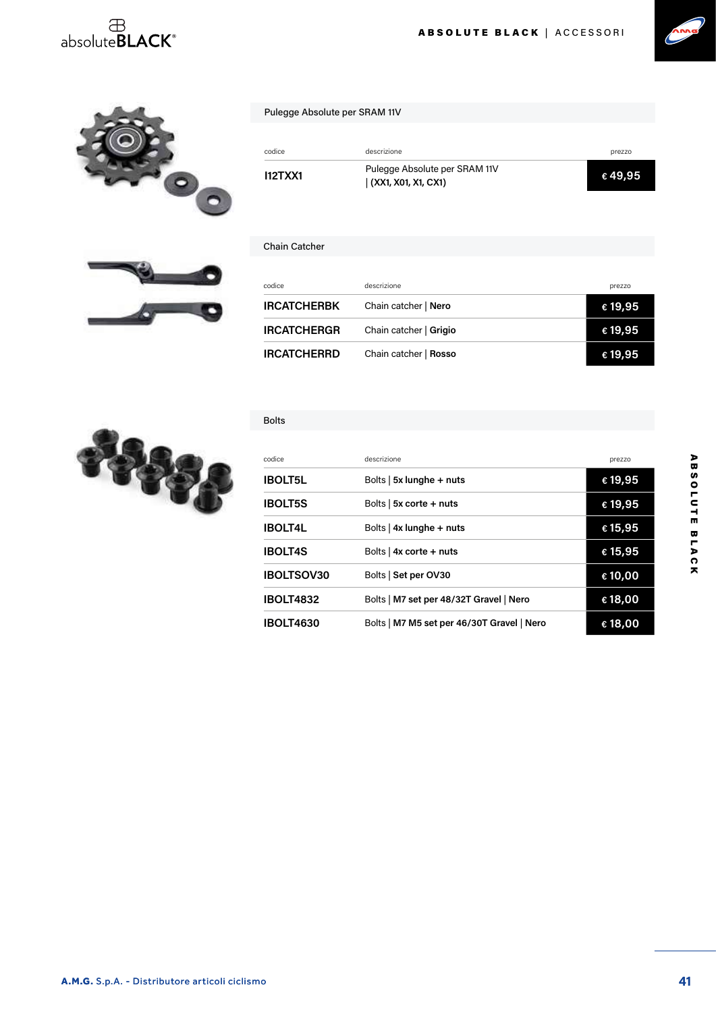## $\overset{\text{\tiny{\textsf{B}}}}{\text{\tiny{absoluteBLACK}^{\circ}}}$





| ABSOLUTE BLACK   ACCESSORI |
|----------------------------|
|----------------------------|



#### Pulegge Absolute per SRAM 11V

| codice         | descrizione                                          | prezzo  |
|----------------|------------------------------------------------------|---------|
| <b>I12TXX1</b> | Pulegge Absolute per SRAM 11V<br>(XX1, X01, X1, CX1) | € 49,95 |

#### Chain Catcher

| codice             | descrizione            | prezzo  |
|--------------------|------------------------|---------|
| <b>IRCATCHERBK</b> | Chain catcher   Nero   | € 19,95 |
| <b>IRCATCHERGR</b> | Chain catcher   Grigio | € 19,95 |
| <b>IRCATCHERRD</b> | Chain catcher   Rosso  | €19,95  |

#### Bolts



| codice            | descrizione                                | prezzo           |
|-------------------|--------------------------------------------|------------------|
| <b>IBOLT5L</b>    | Bolts $\vert$ 5x lunghe + nuts             | € 19,95          |
| <b>IBOLT5S</b>    | Bolts $\vert$ 5x corte + nuts              | € 19,95          |
| <b>IBOLT4L</b>    | Bolts   $4x$ lunghe + nuts                 | € 15,95          |
| <b>IBOLT4S</b>    | Bolts   $4x$ corte + nuts                  | € 15,95          |
| <b>IBOLTSOV30</b> | Bolts   Set per OV30                       | € 10,00          |
| <b>IBOLT4832</b>  | Bolts   M7 set per 48/32T Gravel   Nero    | €18,00           |
| <b>IBOLT4630</b>  | Bolts   M7 M5 set per 46/30T Gravel   Nero | $\epsilon$ 18,00 |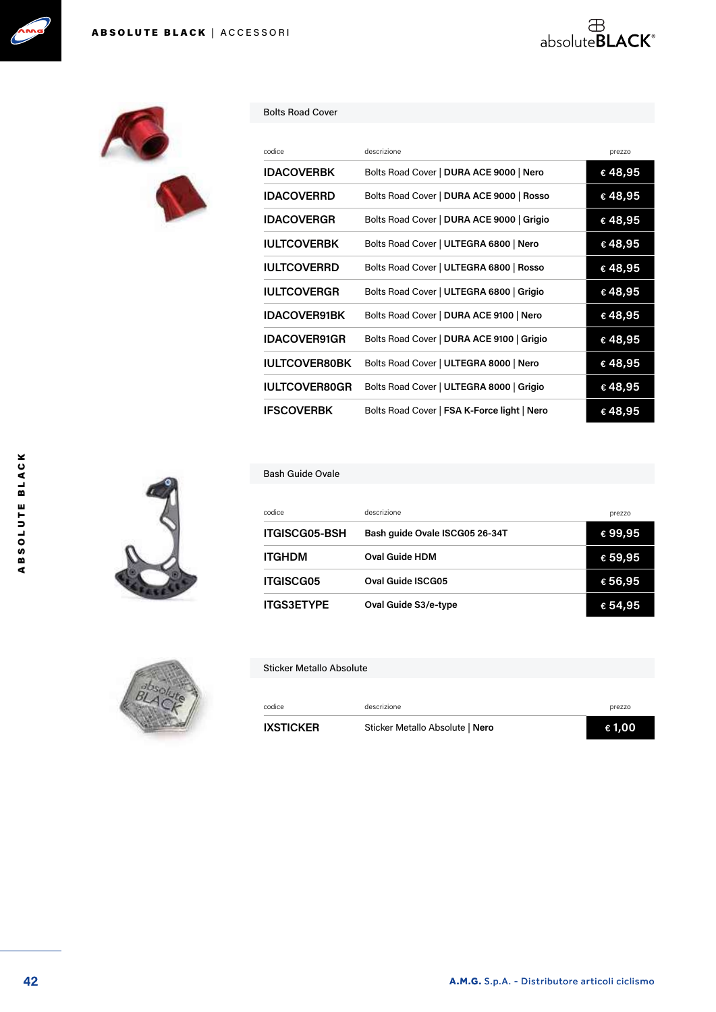



#### Bolts Road Cover

| codice               | descrizione                                 | prezzo  |
|----------------------|---------------------------------------------|---------|
| <b>IDACOVERBK</b>    | Bolts Road Cover   DURA ACE 9000   Nero     | €48,95  |
| <b>IDACOVERRD</b>    | Bolts Road Cover   DURA ACE 9000   Rosso    | €48,95  |
| <b>IDACOVERGR</b>    | Bolts Road Cover   DURA ACE 9000   Grigio   | €48,95  |
| <b>IULTCOVERBK</b>   | Bolts Road Cover   ULTEGRA 6800   Nero      | €48,95  |
| <b>IULTCOVERRD</b>   | Bolts Road Cover   ULTEGRA 6800   Rosso     | € 48,95 |
| <b>IULTCOVERGR</b>   | Bolts Road Cover   ULTEGRA 6800   Grigio    | €48,95  |
| <b>IDACOVER91BK</b>  | Bolts Road Cover   DURA ACE 9100   Nero     | €48,95  |
| <b>IDACOVER91GR</b>  | Bolts Road Cover   DURA ACE 9100   Grigio   | € 48,95 |
| <b>IULTCOVER80BK</b> | Bolts Road Cover   ULTEGRA 8000   Nero      | € 48,95 |
| <b>IULTCOVER80GR</b> | Bolts Road Cover   ULTEGRA 8000   Grigio    | €48,95  |
| <b>IFSCOVERBK</b>    | Bolts Road Cover   FSA K-Force light   Nero | €48,95  |

absolute**BLACK**®

#### Bash Guide Ovale

| codice               | descrizione                    | prezzo           |
|----------------------|--------------------------------|------------------|
| <b>ITGISCG05-BSH</b> | Bash quide Ovale ISCG05 26-34T | €99,95           |
| <b>ITGHDM</b>        | <b>Oval Guide HDM</b>          | € 59,95          |
| <b>ITGISCG05</b>     | Oval Guide ISCG05              | €56,95           |
| <b>ITGS3ETYPE</b>    | Oval Guide S3/e-type           | $\epsilon$ 54,95 |



#### Sticker Metallo Absolute

| codice           | descrizione                     | prezzo |
|------------------|---------------------------------|--------|
| <b>IXSTICKER</b> | Sticker Metallo Absolute   Nero | € 1.00 |